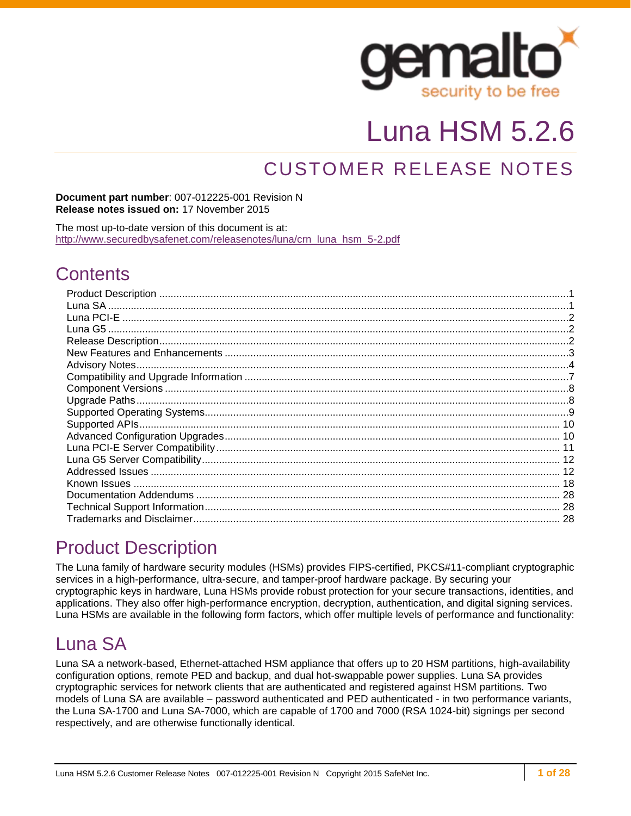

# Luna HSM 5.2.6

## CUSTOMER RELEASE NOTES

#### **Document part number**: 007-012225-001 Revision N **Release notes issued on:** 17 November 2015

The most up-to-date version of this document is at: [http://www.securedbysafenet.com/releasenotes/luna/crn\\_luna\\_hsm\\_5-2.pdf](http://www.securedbysafenet.com/releasenotes/luna/crn_luna_hsm_5-2.pdf)

## **Contents**

## <span id="page-0-0"></span>Product Description

The Luna family of hardware security modules (HSMs) provides FIPS-certified, PKCS#11-compliant cryptographic services in a high-performance, ultra-secure, and tamper-proof hardware package. By securing your cryptographic keys in hardware, Luna HSMs provide robust protection for your secure transactions, identities, and applications. They also offer high-performance encryption, decryption, authentication, and digital signing services. Luna HSMs are available in the following form factors, which offer multiple levels of performance and functionality:

## <span id="page-0-1"></span>Luna SA

Luna SA a network-based, Ethernet-attached HSM appliance that offers up to 20 HSM partitions, high-availability configuration options, remote PED and backup, and dual hot-swappable power supplies. Luna SA provides cryptographic services for network clients that are authenticated and registered against HSM partitions. Two models of Luna SA are available – password authenticated and PED authenticated - in two performance variants, the Luna SA-1700 and Luna SA-7000, which are capable of 1700 and 7000 (RSA 1024-bit) signings per second respectively, and are otherwise functionally identical.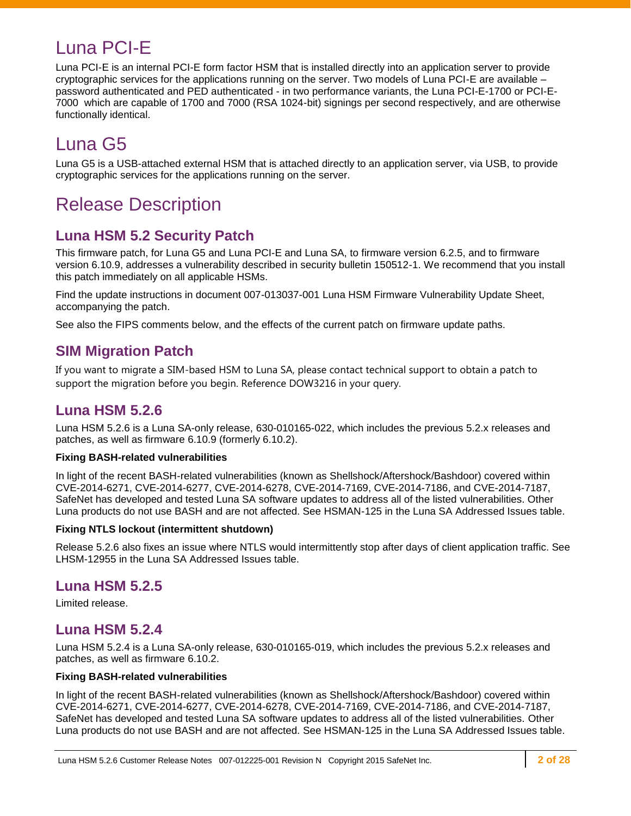## <span id="page-1-0"></span>Luna PCI-E

Luna PCI-E is an internal PCI-E form factor HSM that is installed directly into an application server to provide cryptographic services for the applications running on the server. Two models of Luna PCI-E are available – password authenticated and PED authenticated - in two performance variants, the Luna PCI-E-1700 or PCI-E-7000 which are capable of 1700 and 7000 (RSA 1024-bit) signings per second respectively, and are otherwise functionally identical.

## <span id="page-1-1"></span>Luna G5

Luna G5 is a USB-attached external HSM that is attached directly to an application server, via USB, to provide cryptographic services for the applications running on the server.

## <span id="page-1-2"></span>Release Description

## **Luna HSM 5.2 Security Patch**

This firmware patch, for Luna G5 and Luna PCI-E and Luna SA, to firmware version 6.2.5, and to firmware version 6.10.9, addresses a vulnerability described in security bulletin 150512-1. We recommend that you install this patch immediately on all applicable HSMs.

Find the update instructions in document 007-013037-001 Luna HSM Firmware Vulnerability Update Sheet, accompanying the patch.

See also the FIPS comments below, and the effects of the current patch on firmware update paths.

### **SIM Migration Patch**

If you want to migrate a SIM-based HSM to Luna SA, please contact technical support to obtain a patch to support the migration before you begin. Reference DOW3216 in your query.

### **Luna HSM 5.2.6**

Luna HSM 5.2.6 is a Luna SA-only release, 630-010165-022, which includes the previous 5.2.x releases and patches, as well as firmware 6.10.9 (formerly 6.10.2).

#### **Fixing BASH-related vulnerabilities**

In light of the recent BASH-related vulnerabilities (known as Shellshock/Aftershock/Bashdoor) covered within CVE-2014-6271, CVE-2014-6277, CVE-2014-6278, CVE-2014-7169, CVE-2014-7186, and CVE-2014-7187, SafeNet has developed and tested Luna SA software updates to address all of the listed vulnerabilities. Other Luna products do not use BASH and are not affected. See HSMAN-125 in the Luna SA Addressed Issues table.

#### **Fixing NTLS lockout (intermittent shutdown)**

Release 5.2.6 also fixes an issue where NTLS would intermittently stop after days of client application traffic. See LHSM-12955 in the Luna SA Addressed Issues table.

### **Luna HSM 5.2.5**

Limited release.

### **Luna HSM 5.2.4**

Luna HSM 5.2.4 is a Luna SA-only release, 630-010165-019, which includes the previous 5.2.x releases and patches, as well as firmware 6.10.2.

#### **Fixing BASH-related vulnerabilities**

In light of the recent BASH-related vulnerabilities (known as Shellshock/Aftershock/Bashdoor) covered within CVE-2014-6271, CVE-2014-6277, CVE-2014-6278, CVE-2014-7169, CVE-2014-7186, and CVE-2014-7187, SafeNet has developed and tested Luna SA software updates to address all of the listed vulnerabilities. Other Luna products do not use BASH and are not affected. See HSMAN-125 in the Luna SA Addressed Issues table.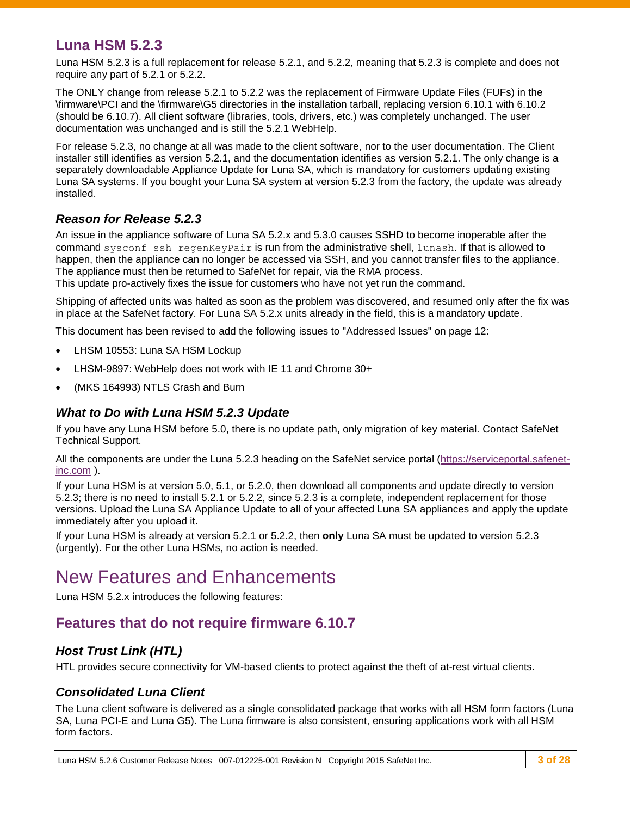### **Luna HSM 5.2.3**

Luna HSM 5.2.3 is a full replacement for release 5.2.1, and 5.2.2, meaning that 5.2.3 is complete and does not require any part of 5.2.1 or 5.2.2.

The ONLY change from release 5.2.1 to 5.2.2 was the replacement of Firmware Update Files (FUFs) in the \firmware\PCI and the \firmware\G5 directories in the installation tarball, replacing version 6.10.1 with 6.10.2 (should be 6.10.7). All client software (libraries, tools, drivers, etc.) was completely unchanged. The user documentation was unchanged and is still the 5.2.1 WebHelp.

For release 5.2.3, no change at all was made to the client software, nor to the user documentation. The Client installer still identifies as version 5.2.1, and the documentation identifies as version 5.2.1. The only change is a separately downloadable Appliance Update for Luna SA, which is mandatory for customers updating existing Luna SA systems. If you bought your Luna SA system at version 5.2.3 from the factory, the update was already installed.

#### *Reason for Release 5.2.3*

An issue in the appliance software of Luna SA 5.2.x and 5.3.0 causes SSHD to become inoperable after the command sysconf ssh regenKeyPair is run from the administrative shell, lunash. If that is allowed to happen, then the appliance can no longer be accessed via SSH, and you cannot transfer files to the appliance. The appliance must then be returned to SafeNet for repair, via the RMA process.

This update pro-actively fixes the issue for customers who have not yet run the command.

Shipping of affected units was halted as soon as the problem was discovered, and resumed only after the fix was in place at the SafeNet factory. For Luna SA 5.2.x units already in the field, this is a mandatory update.

This document has been revised to add the following issues to ["Addressed Issues"](#page-11-1) on page [12:](#page-11-1)

- LHSM 10553: Luna SA HSM Lockup
- LHSM-9897: WebHelp does not work with IE 11 and Chrome 30+
- (MKS 164993) NTLS Crash and Burn

#### *What to Do with Luna HSM 5.2.3 Update*

If you have any Luna HSM before 5.0, there is no update path, only migration of key material. Contact SafeNet Technical Support.

All the components are under the Luna 5.2.3 heading on the SafeNet service portal [\(https://serviceportal.safenet](https://serviceportal.safenet-inc.com/)[inc.com](https://serviceportal.safenet-inc.com/) ).

If your Luna HSM is at version 5.0, 5.1, or 5.2.0, then download all components and update directly to version 5.2.3; there is no need to install 5.2.1 or 5.2.2, since 5.2.3 is a complete, independent replacement for those versions. Upload the Luna SA Appliance Update to all of your affected Luna SA appliances and apply the update immediately after you upload it.

If your Luna HSM is already at version 5.2.1 or 5.2.2, then **only** Luna SA must be updated to version 5.2.3 (urgently). For the other Luna HSMs, no action is needed.

## <span id="page-2-0"></span>New Features and Enhancements

Luna HSM 5.2.x introduces the following features:

### **Features that do not require firmware 6.10.7**

#### *Host Trust Link (HTL)*

HTL provides secure connectivity for VM-based clients to protect against the theft of at-rest virtual clients.

#### *Consolidated Luna Client*

The Luna client software is delivered as a single consolidated package that works with all HSM form factors (Luna SA, Luna PCI-E and Luna G5). The Luna firmware is also consistent, ensuring applications work with all HSM form factors.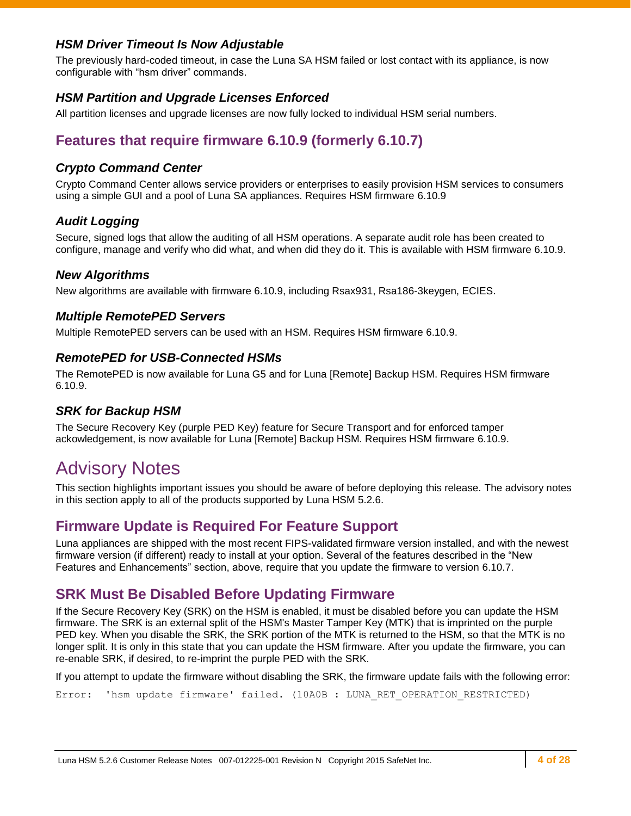#### *HSM Driver Timeout Is Now Adjustable*

The previously hard-coded timeout, in case the Luna SA HSM failed or lost contact with its appliance, is now configurable with "hsm driver" commands.

#### *HSM Partition and Upgrade Licenses Enforced*

All partition licenses and upgrade licenses are now fully locked to individual HSM serial numbers.

## **Features that require firmware 6.10.9 (formerly 6.10.7)**

#### *Crypto Command Center*

Crypto Command Center allows service providers or enterprises to easily provision HSM services to consumers using a simple GUI and a pool of Luna SA appliances. Requires HSM firmware 6.10.9

#### *Audit Logging*

Secure, signed logs that allow the auditing of all HSM operations. A separate audit role has been created to configure, manage and verify who did what, and when did they do it. This is available with HSM firmware 6.10.9.

#### *New Algorithms*

New algorithms are available with firmware 6.10.9, including Rsax931, Rsa186-3keygen, ECIES.

#### *Multiple RemotePED Servers*

Multiple RemotePED servers can be used with an HSM. Requires HSM firmware 6.10.9.

#### *RemotePED for USB-Connected HSMs*

The RemotePED is now available for Luna G5 and for Luna [Remote] Backup HSM. Requires HSM firmware 6.10.9.

#### *SRK for Backup HSM*

The Secure Recovery Key (purple PED Key) feature for Secure Transport and for enforced tamper ackowledgement, is now available for Luna [Remote] Backup HSM. Requires HSM firmware 6.10.9.

## <span id="page-3-0"></span>Advisory Notes

This section highlights important issues you should be aware of before deploying this release. The advisory notes in this section apply to all of the products supported by Luna HSM 5.2.6.

#### **Firmware Update is Required For Feature Support**

Luna appliances are shipped with the most recent FIPS-validated firmware version installed, and with the newest firmware version (if different) ready to install at your option. Several of the features described in the "New Features and Enhancements" section, above, require that you update the firmware to version 6.10.7.

#### **SRK Must Be Disabled Before Updating Firmware**

If the Secure Recovery Key (SRK) on the HSM is enabled, it must be disabled before you can update the HSM firmware. The SRK is an external split of the HSM's Master Tamper Key (MTK) that is imprinted on the purple PED key. When you disable the SRK, the SRK portion of the MTK is returned to the HSM, so that the MTK is no longer split. It is only in this state that you can update the HSM firmware. After you update the firmware, you can re-enable SRK, if desired, to re-imprint the purple PED with the SRK.

If you attempt to update the firmware without disabling the SRK, the firmware update fails with the following error:

Error: 'hsm update firmware' failed. (10A0B : LUNA RET OPERATION RESTRICTED)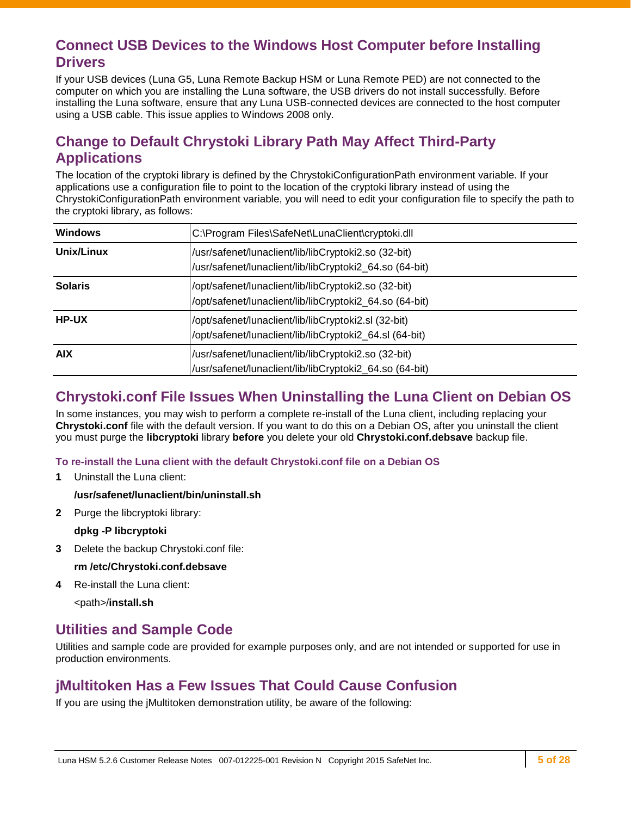### **Connect USB Devices to the Windows Host Computer before Installing Drivers**

If your USB devices (Luna G5, Luna Remote Backup HSM or Luna Remote PED) are not connected to the computer on which you are installing the Luna software, the USB drivers do not install successfully. Before installing the Luna software, ensure that any Luna USB-connected devices are connected to the host computer using a USB cable. This issue applies to Windows 2008 only.

## **Change to Default Chrystoki Library Path May Affect Third-Party Applications**

The location of the cryptoki library is defined by the ChrystokiConfigurationPath environment variable. If your applications use a configuration file to point to the location of the cryptoki library instead of using the ChrystokiConfigurationPath environment variable, you will need to edit your configuration file to specify the path to the cryptoki library, as follows:

| <b>Windows</b> | C:\Program Files\SafeNet\LunaClient\cryptoki.dll                                                                |
|----------------|-----------------------------------------------------------------------------------------------------------------|
| Unix/Linux     | /usr/safenet/lunaclient/lib/libCryptoki2.so (32-bit)<br>/usr/safenet/lunaclient/lib/libCryptoki2_64.so (64-bit) |
| <b>Solaris</b> | /opt/safenet/lunaclient/lib/libCryptoki2.so (32-bit)<br>/opt/safenet/lunaclient/lib/libCryptoki2_64.so (64-bit) |
| <b>HP-UX</b>   | /opt/safenet/lunaclient/lib/libCryptoki2.sl (32-bit)<br>/opt/safenet/lunaclient/lib/libCryptoki2_64.sl (64-bit) |
| <b>AIX</b>     | /usr/safenet/lunaclient/lib/libCryptoki2.so (32-bit)<br>/usr/safenet/lunaclient/lib/libCryptoki2_64.so (64-bit) |

### **Chrystoki.conf File Issues When Uninstalling the Luna Client on Debian OS**

In some instances, you may wish to perform a complete re-install of the Luna client, including replacing your **Chrystoki.conf** file with the default version. If you want to do this on a Debian OS, after you uninstall the client you must purge the **libcryptoki** library **before** you delete your old **Chrystoki.conf.debsave** backup file.

#### **To re-install the Luna client with the default Chrystoki.conf file on a Debian OS**

**1** Uninstall the Luna client:

#### **/usr/safenet/lunaclient/bin/uninstall.sh**

**2** Purge the libcryptoki library:

#### **dpkg -P libcryptoki**

**3** Delete the backup Chrystoki.conf file:

**rm /etc/Chrystoki.conf.debsave**

**4** Re-install the Luna client:

<path>/**install.sh**

### **Utilities and Sample Code**

Utilities and sample code are provided for example purposes only, and are not intended or supported for use in production environments.

### **jMultitoken Has a Few Issues That Could Cause Confusion**

If you are using the jMultitoken demonstration utility, be aware of the following: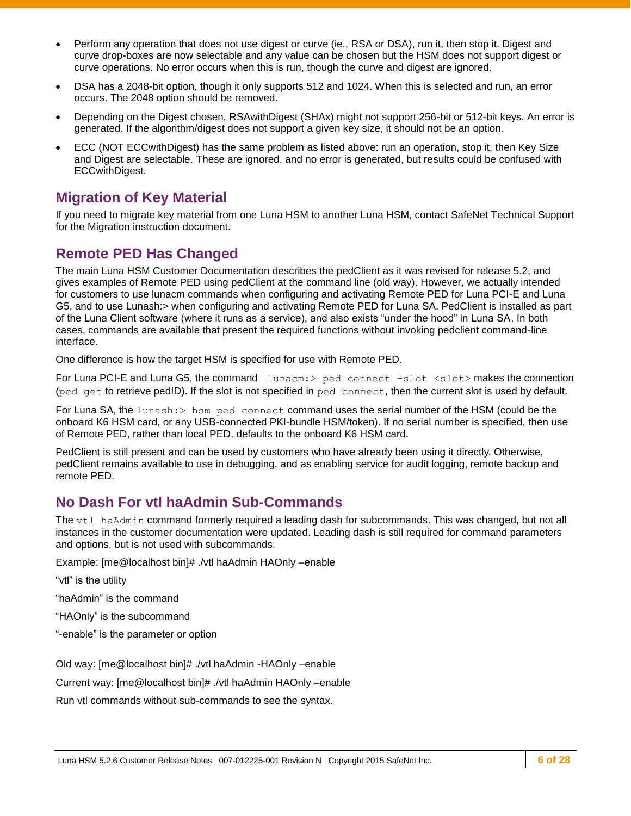- Perform any operation that does not use digest or curve (ie., RSA or DSA), run it, then stop it. Digest and curve drop-boxes are now selectable and any value can be chosen but the HSM does not support digest or curve operations. No error occurs when this is run, though the curve and digest are ignored.
- DSA has a 2048-bit option, though it only supports 512 and 1024. When this is selected and run, an error occurs. The 2048 option should be removed.
- Depending on the Digest chosen, RSAwithDigest (SHAx) might not support 256-bit or 512-bit keys. An error is generated. If the algorithm/digest does not support a given key size, it should not be an option.
- ECC (NOT ECCwithDigest) has the same problem as listed above: run an operation, stop it, then Key Size and Digest are selectable. These are ignored, and no error is generated, but results could be confused with ECCwithDigest.

### **Migration of Key Material**

If you need to migrate key material from one Luna HSM to another Luna HSM, contact SafeNet Technical Support for the Migration instruction document.

## **Remote PED Has Changed**

The main Luna HSM Customer Documentation describes the pedClient as it was revised for release 5.2, and gives examples of Remote PED using pedClient at the command line (old way). However, we actually intended for customers to use lunacm commands when configuring and activating Remote PED for Luna PCI-E and Luna G5, and to use Lunash:> when configuring and activating Remote PED for Luna SA. PedClient is installed as part of the Luna Client software (where it runs as a service), and also exists "under the hood" in Luna SA. In both cases, commands are available that present the required functions without invoking pedclient command-line interface.

One difference is how the target HSM is specified for use with Remote PED.

For Luna PCI-E and Luna G5, the command lunacm: > ped connect -slot <slot> makes the connection (ped get to retrieve pedID). If the slot is not specified in ped connect, then the current slot is used by default.

For Luna SA, the lunash: > hsm ped connect command uses the serial number of the HSM (could be the onboard K6 HSM card, or any USB-connected PKI-bundle HSM/token). If no serial number is specified, then use of Remote PED, rather than local PED, defaults to the onboard K6 HSM card.

PedClient is still present and can be used by customers who have already been using it directly. Otherwise, pedClient remains available to use in debugging, and as enabling service for audit logging, remote backup and remote PED.

### **No Dash For vtl haAdmin Sub-Commands**

The vtl haAdmin command formerly required a leading dash for subcommands. This was changed, but not all instances in the customer documentation were updated. Leading dash is still required for command parameters and options, but is not used with subcommands.

Example: [me@localhost bin]# ./vtl haAdmin HAOnly –enable

"vtl" is the utility

"haAdmin" is the command

"HAOnly" is the subcommand

"-enable" is the parameter or option

Old way: [me@localhost bin]# ./vtl haAdmin -HAOnly –enable

Current way: [me@localhost bin]# ./vtl haAdmin HAOnly –enable

Run vtl commands without sub-commands to see the syntax.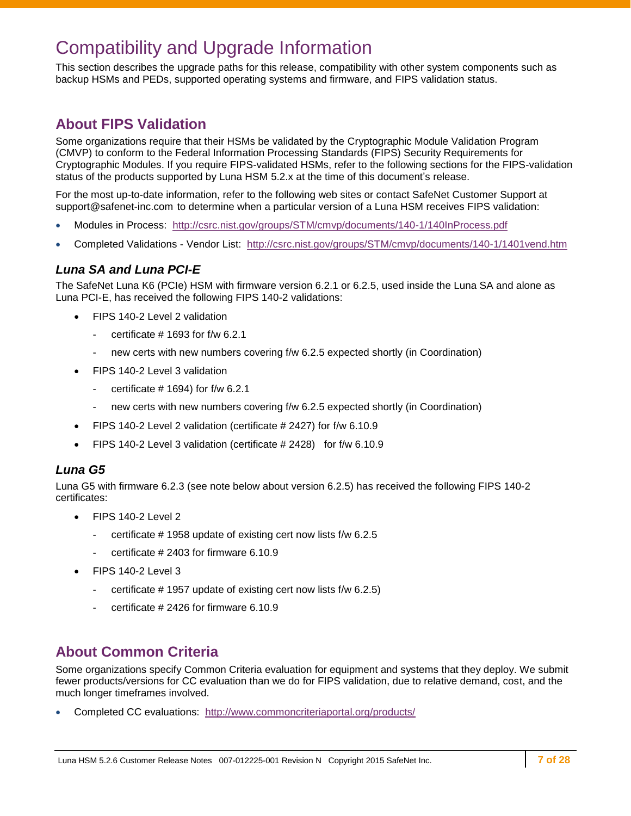## <span id="page-6-0"></span>Compatibility and Upgrade Information

This section describes the upgrade paths for this release, compatibility with other system components such as backup HSMs and PEDs, supported operating systems and firmware, and FIPS validation status.

### **About FIPS Validation**

Some organizations require that their HSMs be validated by the Cryptographic Module Validation Program (CMVP) to conform to the Federal Information Processing Standards (FIPS) Security Requirements for Cryptographic Modules. If you require FIPS-validated HSMs, refer to the following sections for the FIPS-validation status of the products supported by Luna HSM 5.2.x at the time of this document's release.

For the most up-to-date information, refer to the following web sites or contact SafeNet Customer Support at [support@safenet-inc.com](mailto:support@safenet-inc.com) to determine when a particular version of a Luna HSM receives FIPS validation:

- Modules in Process: <http://csrc.nist.gov/groups/STM/cmvp/documents/140-1/140InProcess.pdf>
- Completed Validations Vendor List: <http://csrc.nist.gov/groups/STM/cmvp/documents/140-1/1401vend.htm>

#### *Luna SA and Luna PCI-E*

The SafeNet Luna K6 (PCIe) HSM with firmware version 6.2.1 or 6.2.5, used inside the Luna SA and alone as Luna PCI-E, has received the following FIPS 140-2 validations:

- FIPS 140-2 Level 2 validation
	- certificate  $#$  1693 for f/w 6.2.1
	- new certs with new numbers covering f/w 6.2.5 expected shortly (in Coordination)
- FIPS 140-2 Level 3 validation
	- certificate  $\#$  1694) for f/w 6.2.1
	- new certs with new numbers covering f/w 6.2.5 expected shortly (in Coordination)
- FIPS 140-2 Level 2 validation (certificate # 2427) for f/w 6.10.9
- FIPS 140-2 Level 3 validation (certificate # 2428) for f/w 6.10.9

#### *Luna G5*

Luna G5 with firmware 6.2.3 (see note below about version 6.2.5) has received the following FIPS 140-2 certificates:

- FIPS 140-2 Level 2
	- certificate # 1958 update of existing cert now lists f/w 6.2.5
	- certificate # 2403 for firmware 6.10.9
- FIPS 140-2 Level 3
	- certificate # 1957 update of existing cert now lists f/w 6.2.5)
	- certificate # 2426 for firmware 6.10.9

### **About Common Criteria**

Some organizations specify Common Criteria evaluation for equipment and systems that they deploy. We submit fewer products/versions for CC evaluation than we do for FIPS validation, due to relative demand, cost, and the much longer timeframes involved.

Completed CC evaluations: <http://www.commoncriteriaportal.org/products/>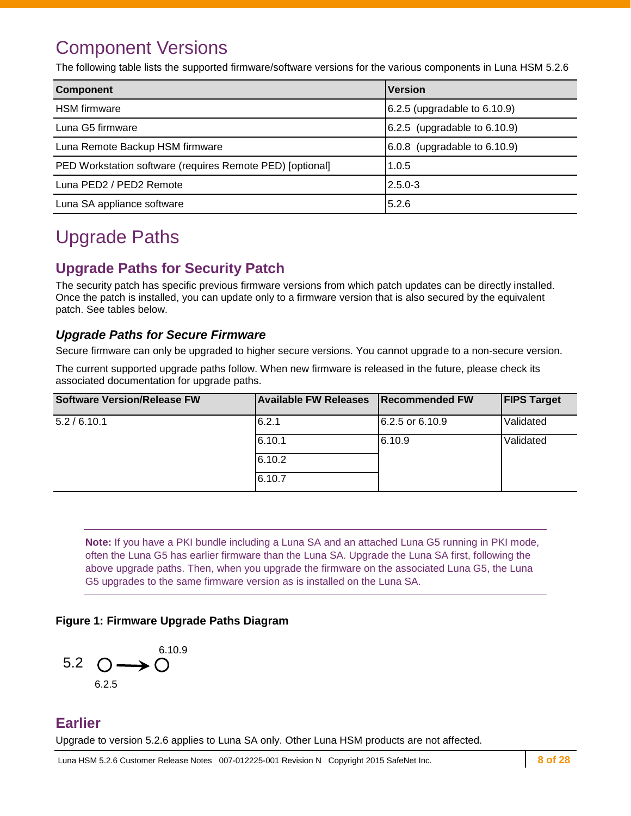## <span id="page-7-0"></span>Component Versions

The following table lists the supported firmware/software versions for the various components in Luna HSM 5.2.6

| <b>Component</b>                                          | <b>Version</b>                    |
|-----------------------------------------------------------|-----------------------------------|
| <b>HSM</b> firmware                                       | $6.2.5$ (upgradable to $6.10.9$ ) |
| Luna G5 firmware                                          | 6.2.5 (upgradable to 6.10.9)      |
| Luna Remote Backup HSM firmware                           | $6.0.8$ (upgradable to $6.10.9$ ) |
| PED Workstation software (requires Remote PED) [optional] | 1.0.5                             |
| Luna PED2 / PED2 Remote                                   | $2.5.0 - 3$                       |
| Luna SA appliance software                                | 5.2.6                             |

## <span id="page-7-1"></span>Upgrade Paths

## **Upgrade Paths for Security Patch**

The security patch has specific previous firmware versions from which patch updates can be directly installed. Once the patch is installed, you can update only to a firmware version that is also secured by the equivalent patch. See tables below.

#### *Upgrade Paths for Secure Firmware*

Secure firmware can only be upgraded to higher secure versions. You cannot upgrade to a non-secure version.

The current supported upgrade paths follow. When new firmware is released in the future, please check its associated documentation for upgrade paths.

| <b>Software Version/Release FW</b> | <b>Available FW Releases</b> | <b>Recommended FW</b> | <b>FIPS Target</b> |
|------------------------------------|------------------------------|-----------------------|--------------------|
| 5.2/6.10.1                         | 6.2.1                        | 6.2.5 or 6.10.9       | Validated          |
|                                    | 6.10.1                       | 6.10.9                | Validated          |
|                                    | 6.10.2                       |                       |                    |
|                                    | 6.10.7                       |                       |                    |

**Note:** If you have a PKI bundle including a Luna SA and an attached Luna G5 running in PKI mode, often the Luna G5 has earlier firmware than the Luna SA. Upgrade the Luna SA first, following the above upgrade paths. Then, when you upgrade the firmware on the associated Luna G5, the Luna G5 upgrades to the same firmware version as is installed on the Luna SA.

#### **Figure 1: Firmware Upgrade Paths Diagram**



### **Earlier**

Upgrade to version 5.2.6 applies to Luna SA only. Other Luna HSM products are not affected.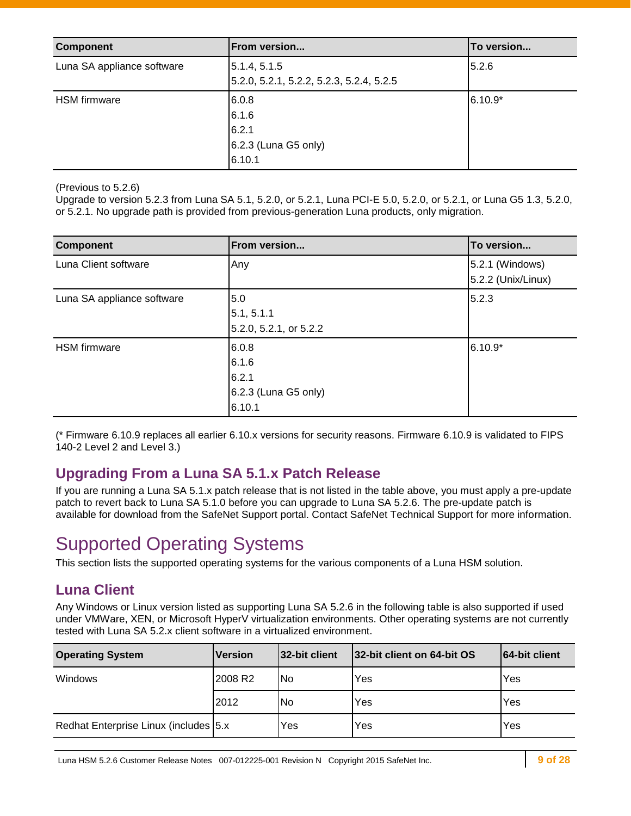| <b>Component</b>           | <b>From version</b>                                      | To version |
|----------------------------|----------------------------------------------------------|------------|
| Luna SA appliance software | 5.1.4, 5.1.5<br>5.2.0, 5.2.1, 5.2.2, 5.2.3, 5.2.4, 5.2.5 | 5.2.6      |
| <b>HSM</b> firmware        | 6.0.8<br>6.1.6                                           | $6.10.9*$  |
|                            | 6.2.1<br>$6.2.3$ (Luna G5 only)<br>6.10.1                |            |

(Previous to 5.2.6)

Upgrade to version 5.2.3 from Luna SA 5.1, 5.2.0, or 5.2.1, Luna PCI-E 5.0, 5.2.0, or 5.2.1, or Luna G5 1.3, 5.2.0, or 5.2.1. No upgrade path is provided from previous-generation Luna products, only migration.

| <b>Component</b>           | From version                                              | To version                            |
|----------------------------|-----------------------------------------------------------|---------------------------------------|
| Luna Client software       | Any                                                       | 5.2.1 (Windows)<br>5.2.2 (Unix/Linux) |
| Luna SA appliance software | 5.0<br>5.1, 5.1.1<br>5.2.0, 5.2.1, or 5.2.2               | 5.2.3                                 |
| <b>HSM</b> firmware        | 6.0.8<br>6.1.6<br>6.2.1<br>6.2.3 (Luna G5 only)<br>6.10.1 | $6.10.9*$                             |

(\* Firmware 6.10.9 replaces all earlier 6.10.x versions for security reasons. Firmware 6.10.9 is validated to FIPS 140-2 Level 2 and Level 3.)

### **Upgrading From a Luna SA 5.1.x Patch Release**

If you are running a Luna SA 5.1.x patch release that is not listed in the table above, you must apply a pre-update patch to revert back to Luna SA 5.1.0 before you can upgrade to Luna SA 5.2.6. The pre-update patch is available for download from the SafeNet Support portal. Contact SafeNet Technical Support for more information.

## <span id="page-8-0"></span>Supported Operating Systems

This section lists the supported operating systems for the various components of a Luna HSM solution.

### **Luna Client**

Any Windows or Linux version listed as supporting Luna SA 5.2.6 in the following table is also supported if used under VMWare, XEN, or Microsoft HyperV virtualization environments. Other operating systems are not currently tested with Luna SA 5.2.x client software in a virtualized environment.

| <b>Operating System</b>               | <b>Version</b>      | 32-bit client | 32-bit client on 64-bit OS | 64-bit client |
|---------------------------------------|---------------------|---------------|----------------------------|---------------|
| <b>Windows</b>                        | 2008 R <sub>2</sub> | No            | Yes                        | Yes           |
|                                       | 2012                | l No          | Yes                        | Yes           |
| Redhat Enterprise Linux (includes 5.x |                     | Yes           | Yes                        | Yes           |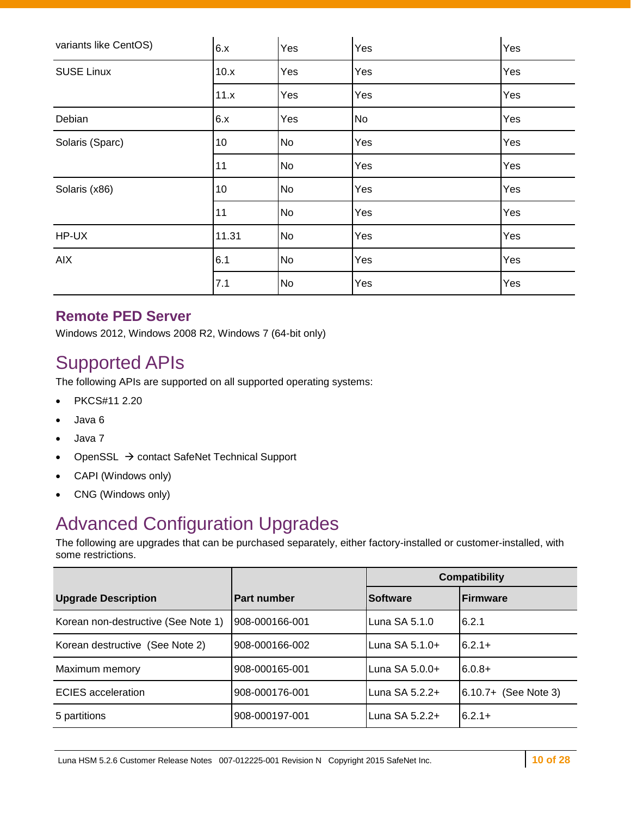| variants like CentOS) | 6.x   | Yes | Yes       | Yes |
|-----------------------|-------|-----|-----------|-----|
| <b>SUSE Linux</b>     | 10.x  | Yes | Yes       | Yes |
|                       | 11.x  | Yes | Yes       | Yes |
| Debian                | 6.x   | Yes | <b>No</b> | Yes |
| Solaris (Sparc)       | 10    | No  | Yes       | Yes |
|                       | 11    | No  | Yes       | Yes |
| Solaris (x86)         | 10    | No  | Yes       | Yes |
|                       | 11    | No  | Yes       | Yes |
| HP-UX                 | 11.31 | No  | Yes       | Yes |
| <b>AIX</b>            | 6.1   | No  | Yes       | Yes |
|                       | 7.1   | No  | Yes       | Yes |

### **Remote PED Server**

Windows 2012, Windows 2008 R2, Windows 7 (64-bit only)

## <span id="page-9-0"></span>Supported APIs

The following APIs are supported on all supported operating systems:

- PKCS#11 2.20
- Java 6
- Java 7
- OpenSSL → contact SafeNet Technical Support
- CAPI (Windows only)
- CNG (Windows only)

## <span id="page-9-1"></span>Advanced Configuration Upgrades

The following are upgrades that can be purchased separately, either factory-installed or customer-installed, with some restrictions.

|                                     |                    |                  | <b>Compatibility</b>   |
|-------------------------------------|--------------------|------------------|------------------------|
| <b>Upgrade Description</b>          | <b>Part number</b> | <b>Software</b>  | <b>IFirmware</b>       |
| Korean non-destructive (See Note 1) | 908-000166-001     | Luna $SA 5.1.0$  | 6.2.1                  |
| Korean destructive (See Note 2)     | 908-000166-002     | Luna $SA 5.1.0+$ | $6.2.1+$               |
| Maximum memory                      | 908-000165-001     | Luna $SA 5.0.0+$ | $6.0.8+$               |
| <b>ECIES</b> acceleration           | 908-000176-001     | Luna $SA 5.2.2+$ | $6.10.7+$ (See Note 3) |
| 5 partitions                        | 908-000197-001     | Luna SA 5.2.2+   | $6.2.1+$               |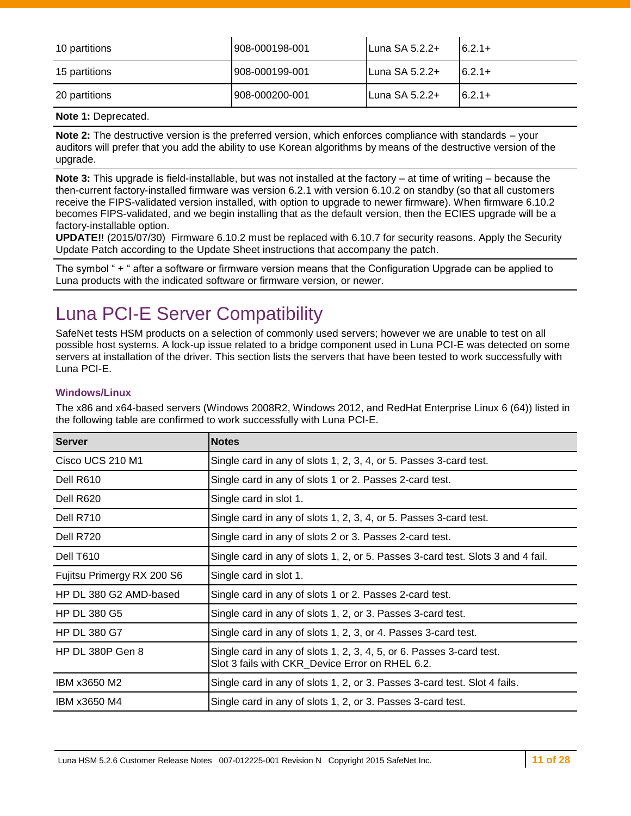| 10 partitions | 908-000198-001  | Luna SA 5.2.2+ | $6.2.1+$  |
|---------------|-----------------|----------------|-----------|
| 15 partitions | 908-000199-001  | Luna SA 5.2.2+ | $6.2.1+$  |
| 20 partitions | 1908-000200-001 | Luna SA 5.2.2+ | $16.2.1+$ |

#### **Note 1:** Deprecated.

**Note 2:** The destructive version is the preferred version, which enforces compliance with standards – your auditors will prefer that you add the ability to use Korean algorithms by means of the destructive version of the upgrade.

**Note 3:** This upgrade is field-installable, but was not installed at the factory – at time of writing – because the then-current factory-installed firmware was version 6.2.1 with version 6.10.2 on standby (so that all customers receive the FIPS-validated version installed, with option to upgrade to newer firmware). When firmware 6.10.2 becomes FIPS-validated, and we begin installing that as the default version, then the ECIES upgrade will be a factory-installable option.

**UPDATE!**! (2015/07/30) Firmware 6.10.2 must be replaced with 6.10.7 for security reasons. Apply the Security Update Patch according to the Update Sheet instructions that accompany the patch.

The symbol " + " after a software or firmware version means that the Configuration Upgrade can be applied to Luna products with the indicated software or firmware version, or newer.

## <span id="page-10-0"></span>Luna PCI-E Server Compatibility

SafeNet tests HSM products on a selection of commonly used servers; however we are unable to test on all possible host systems. A lock-up issue related to a bridge component used in Luna PCI-E was detected on some servers at installation of the driver. This section lists the servers that have been tested to work successfully with Luna PCI-E.

#### **Windows/Linux**

The x86 and x64-based servers (Windows 2008R2, Windows 2012, and RedHat Enterprise Linux 6 (64)) listed in the following table are confirmed to work successfully with Luna PCI-E.

| <b>Server</b>              | <b>Notes</b>                                                                                                            |
|----------------------------|-------------------------------------------------------------------------------------------------------------------------|
| Cisco UCS 210 M1           | Single card in any of slots 1, 2, 3, 4, or 5. Passes 3-card test.                                                       |
| Dell R610                  | Single card in any of slots 1 or 2. Passes 2-card test.                                                                 |
| Dell R620                  | Single card in slot 1.                                                                                                  |
| Dell R710                  | Single card in any of slots 1, 2, 3, 4, or 5. Passes 3-card test.                                                       |
| Dell R720                  | Single card in any of slots 2 or 3. Passes 2-card test.                                                                 |
| Dell T610                  | Single card in any of slots 1, 2, or 5. Passes 3-card test. Slots 3 and 4 fail.                                         |
| Fujitsu Primergy RX 200 S6 | Single card in slot 1.                                                                                                  |
| HP DL 380 G2 AMD-based     | Single card in any of slots 1 or 2. Passes 2-card test.                                                                 |
| <b>HP DL 380 G5</b>        | Single card in any of slots 1, 2, or 3. Passes 3-card test.                                                             |
| <b>HP DL 380 G7</b>        | Single card in any of slots 1, 2, 3, or 4. Passes 3-card test.                                                          |
| <b>HP DL 380P Gen 8</b>    | Single card in any of slots 1, 2, 3, 4, 5, or 6. Passes 3-card test.<br>Slot 3 fails with CKR_Device Error on RHEL 6.2. |
| IBM x3650 M2               | Single card in any of slots 1, 2, or 3. Passes 3-card test. Slot 4 fails.                                               |
| IBM x3650 M4               | Single card in any of slots 1, 2, or 3. Passes 3-card test.                                                             |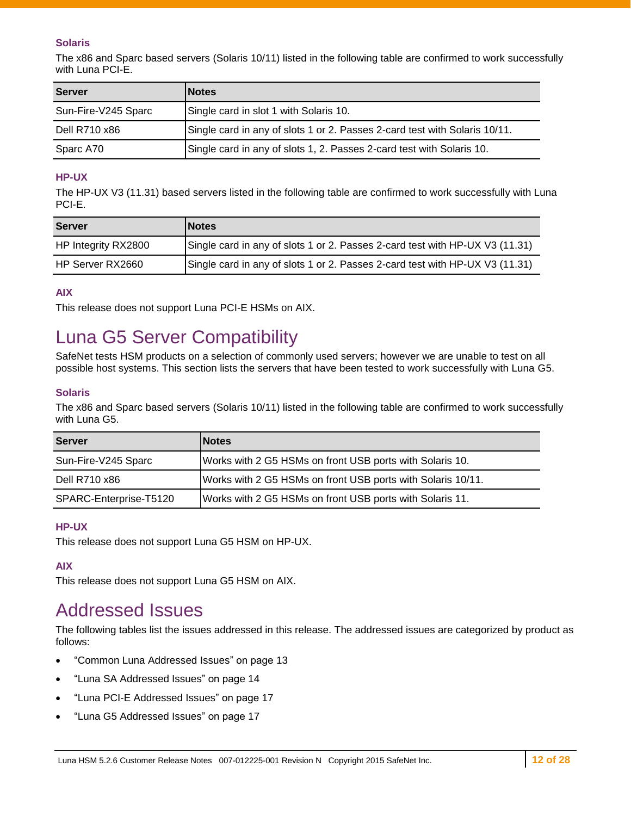#### **Solaris**

The x86 and Sparc based servers (Solaris 10/11) listed in the following table are confirmed to work successfully with Luna PCI-E.

| <b>Server</b>       | <b>INotes</b>                                                              |
|---------------------|----------------------------------------------------------------------------|
| Sun-Fire-V245 Sparc | Single card in slot 1 with Solaris 10.                                     |
| Dell R710 x86       | Single card in any of slots 1 or 2. Passes 2-card test with Solaris 10/11. |
| Sparc A70           | Single card in any of slots 1, 2. Passes 2-card test with Solaris 10.      |

#### **HP-UX**

The HP-UX V3 (11.31) based servers listed in the following table are confirmed to work successfully with Luna PCI-E.

| <b>Server</b>       | <b>INotes</b>                                                                |
|---------------------|------------------------------------------------------------------------------|
| HP Integrity RX2800 | Single card in any of slots 1 or 2. Passes 2-card test with HP-UX V3 (11.31) |
| HP Server RX2660    | Single card in any of slots 1 or 2. Passes 2-card test with HP-UX V3 (11.31) |

#### **AIX**

This release does not support Luna PCI-E HSMs on AIX.

## <span id="page-11-0"></span>Luna G5 Server Compatibility

SafeNet tests HSM products on a selection of commonly used servers; however we are unable to test on all possible host systems. This section lists the servers that have been tested to work successfully with Luna G5.

#### **Solaris**

The x86 and Sparc based servers (Solaris 10/11) listed in the following table are confirmed to work successfully with Luna G5.

| <b>Server</b>          | <b>Notes</b>                                                |
|------------------------|-------------------------------------------------------------|
| Sun-Fire-V245 Sparc    | Works with 2 G5 HSMs on front USB ports with Solaris 10.    |
| Dell R710 x86          | Works with 2 G5 HSMs on front USB ports with Solaris 10/11. |
| SPARC-Enterprise-T5120 | Works with 2 G5 HSMs on front USB ports with Solaris 11.    |

#### **HP-UX**

This release does not support Luna G5 HSM on HP-UX.

#### **AIX**

This release does not support Luna G5 HSM on AIX.

## <span id="page-11-1"></span>Addressed Issues

The following tables list the issues addressed in this release. The addressed issues are categorized by product as follows:

- ["Common Luna Addressed Issues"](#page-12-0) on page [13](#page-12-0)
- ["Luna SA Addressed Issues"](#page-13-0) on page [14](#page-13-0)
- ["Luna PCI-E Addressed Issues"](#page-16-0) on page [17](#page-16-0)
- ["Luna G5 Addressed Issues"](#page-16-1) on page [17](#page-16-1)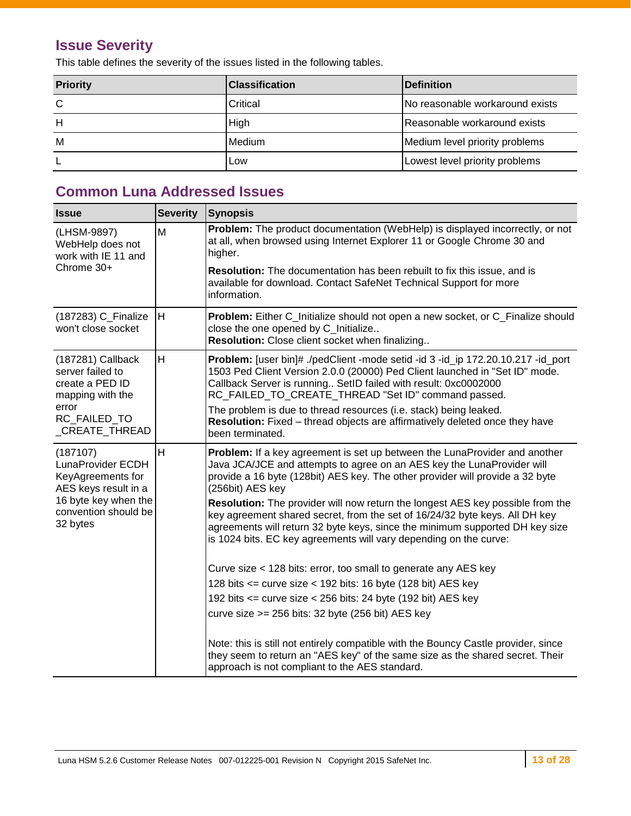## **Issue Severity**

This table defines the severity of the issues listed in the following tables.

| <b>Priority</b> | <b>IClassification</b> | <b>IDefinition</b>               |
|-----------------|------------------------|----------------------------------|
| C               | Critical               | INo reasonable workaround exists |
| H               | High                   | Reasonable workaround exists     |
| M               | Medium                 | Medium level priority problems   |
|                 | Low                    | Lowest level priority problems   |

## <span id="page-12-0"></span>**Common Luna Addressed Issues**

| <b>Issue</b>                                                                                                                           | <b>Severity</b> | Synopsis                                                                                                                                                                                                                                                                                                           |  |  |
|----------------------------------------------------------------------------------------------------------------------------------------|-----------------|--------------------------------------------------------------------------------------------------------------------------------------------------------------------------------------------------------------------------------------------------------------------------------------------------------------------|--|--|
| (LHSM-9897)<br>WebHelp does not<br>work with IE 11 and                                                                                 | M               | Problem: The product documentation (WebHelp) is displayed incorrectly, or not<br>at all, when browsed using Internet Explorer 11 or Google Chrome 30 and<br>higher.                                                                                                                                                |  |  |
| Chrome 30+                                                                                                                             |                 | <b>Resolution:</b> The documentation has been rebuilt to fix this issue, and is<br>available for download. Contact SafeNet Technical Support for more<br>information.                                                                                                                                              |  |  |
| (187283) C_Finalize<br>won't close socket                                                                                              | H               | Problem: Either C_Initialize should not open a new socket, or C_Finalize should<br>close the one opened by C_Initialize<br>Resolution: Close client socket when finalizing                                                                                                                                         |  |  |
| $(187281)$ Callback<br>server failed to<br>create a PED ID<br>mapping with the<br>error<br>RC FAILED TO<br>_CREATE_THREAD              | H               | Problem: [user bin]# ./pedClient -mode setid -id 3 -id_ip 172.20.10.217 -id_port<br>1503 Ped Client Version 2.0.0 (20000) Ped Client launched in "Set ID" mode.<br>Callback Server is running SetID failed with result: 0xc0002000<br>RC_FAILED_TO_CREATE_THREAD "Set ID" command passed.                          |  |  |
|                                                                                                                                        |                 | The problem is due to thread resources (i.e. stack) being leaked.<br>Resolution: Fixed - thread objects are affirmatively deleted once they have<br>been terminated.                                                                                                                                               |  |  |
| (187107)<br>LunaProvider ECDH<br>KeyAgreements for<br>AES keys result in a<br>16 byte key when the<br>convention should be<br>32 bytes | H               | Problem: If a key agreement is set up between the LunaProvider and another<br>Java JCA/JCE and attempts to agree on an AES key the LunaProvider will<br>provide a 16 byte (128bit) AES key. The other provider will provide a 32 byte<br>(256bit) AES key                                                          |  |  |
|                                                                                                                                        |                 | Resolution: The provider will now return the longest AES key possible from the<br>key agreement shared secret, from the set of 16/24/32 byte keys. All DH key<br>agreements will return 32 byte keys, since the minimum supported DH key size<br>is 1024 bits. EC key agreements will vary depending on the curve: |  |  |
|                                                                                                                                        |                 | Curve size < 128 bits: error, too small to generate any AES key                                                                                                                                                                                                                                                    |  |  |
|                                                                                                                                        |                 | 128 bits $\le$ = curve size $\lt$ 192 bits: 16 byte (128 bit) AES key                                                                                                                                                                                                                                              |  |  |
|                                                                                                                                        |                 | 192 bits <= curve size < 256 bits: 24 byte (192 bit) AES key                                                                                                                                                                                                                                                       |  |  |
|                                                                                                                                        |                 | curve size >= 256 bits: 32 byte (256 bit) AES key                                                                                                                                                                                                                                                                  |  |  |
|                                                                                                                                        |                 | Note: this is still not entirely compatible with the Bouncy Castle provider, since<br>they seem to return an "AES key" of the same size as the shared secret. Their<br>approach is not compliant to the AES standard.                                                                                              |  |  |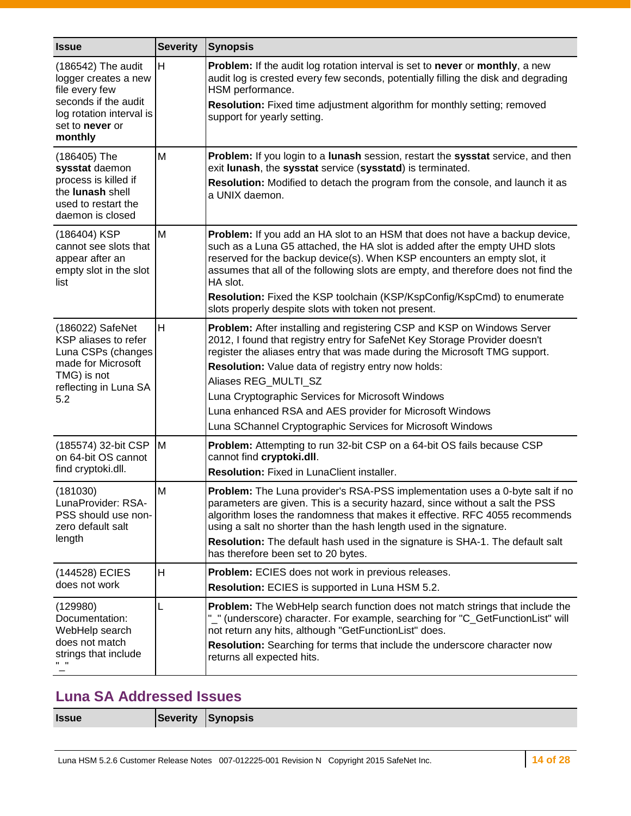| <b>Issue</b>                                                                                                                                   | <b>Severity</b> | <b>Synopsis</b>                                                                                                                                                                                                                                                                                                                                                                                                                                                                                   |  |  |
|------------------------------------------------------------------------------------------------------------------------------------------------|-----------------|---------------------------------------------------------------------------------------------------------------------------------------------------------------------------------------------------------------------------------------------------------------------------------------------------------------------------------------------------------------------------------------------------------------------------------------------------------------------------------------------------|--|--|
| (186542) The audit<br>logger creates a new<br>file every few<br>seconds if the audit<br>log rotation interval is<br>set to never or<br>monthly | H               | Problem: If the audit log rotation interval is set to never or monthly, a new<br>audit log is crested every few seconds, potentially filling the disk and degrading<br>HSM performance.<br>Resolution: Fixed time adjustment algorithm for monthly setting; removed<br>support for yearly setting.                                                                                                                                                                                                |  |  |
| (186405) The<br>sysstat daemon<br>process is killed if<br>the lunash shell<br>used to restart the<br>daemon is closed                          | M               | Problem: If you login to a lunash session, restart the sysstat service, and then<br>exit lunash, the sysstat service (sysstatd) is terminated.<br>Resolution: Modified to detach the program from the console, and launch it as<br>a UNIX daemon.                                                                                                                                                                                                                                                 |  |  |
| (186404) KSP<br>cannot see slots that<br>appear after an<br>empty slot in the slot<br>list                                                     | M               | Problem: If you add an HA slot to an HSM that does not have a backup device,<br>such as a Luna G5 attached, the HA slot is added after the empty UHD slots<br>reserved for the backup device(s). When KSP encounters an empty slot, it<br>assumes that all of the following slots are empty, and therefore does not find the<br>HA slot.<br>Resolution: Fixed the KSP toolchain (KSP/KspConfig/KspCmd) to enumerate<br>slots properly despite slots with token not present.                       |  |  |
| (186022) SafeNet<br>KSP aliases to refer<br>Luna CSPs (changes<br>made for Microsoft<br>TMG) is not<br>reflecting in Luna SA<br>5.2            | H               | Problem: After installing and registering CSP and KSP on Windows Server<br>2012, I found that registry entry for SafeNet Key Storage Provider doesn't<br>register the aliases entry that was made during the Microsoft TMG support.<br>Resolution: Value data of registry entry now holds:<br>Aliases REG_MULTI_SZ<br>Luna Cryptographic Services for Microsoft Windows<br>Luna enhanced RSA and AES provider for Microsoft Windows<br>Luna SChannel Cryptographic Services for Microsoft Windows |  |  |
| (185574) 32-bit CSP<br>on 64-bit OS cannot<br>find cryptoki.dll.                                                                               | M               | Problem: Attempting to run 32-bit CSP on a 64-bit OS fails because CSP<br>cannot find cryptoki.dll.<br>Resolution: Fixed in LunaClient installer.                                                                                                                                                                                                                                                                                                                                                 |  |  |
| (181030)<br>LunaProvider: RSA-<br>PSS should use non-<br>zero default salt<br>length                                                           | M               | <b>Problem:</b> The Luna provider's RSA-PSS implementation uses a 0-byte salt if no<br>parameters are given. This is a security hazard, since without a salt the PSS<br>algorithm loses the randomness that makes it effective. RFC 4055 recommends<br>using a salt no shorter than the hash length used in the signature.<br>Resolution: The default hash used in the signature is SHA-1. The default salt<br>has therefore been set to 20 bytes.                                                |  |  |
| (144528) ECIES<br>does not work                                                                                                                | н               | Problem: ECIES does not work in previous releases.<br>Resolution: ECIES is supported in Luna HSM 5.2.                                                                                                                                                                                                                                                                                                                                                                                             |  |  |
| (129980)<br>Documentation:<br>WebHelp search<br>does not match<br>strings that include                                                         | L               | Problem: The WebHelp search function does not match strings that include the<br>"_" (underscore) character. For example, searching for "C_GetFunctionList" will<br>not return any hits, although "GetFunctionList" does.<br>Resolution: Searching for terms that include the underscore character now<br>returns all expected hits.                                                                                                                                                               |  |  |

## <span id="page-13-0"></span>**Luna SA Addressed Issues**

**Issue Severity Synopsis**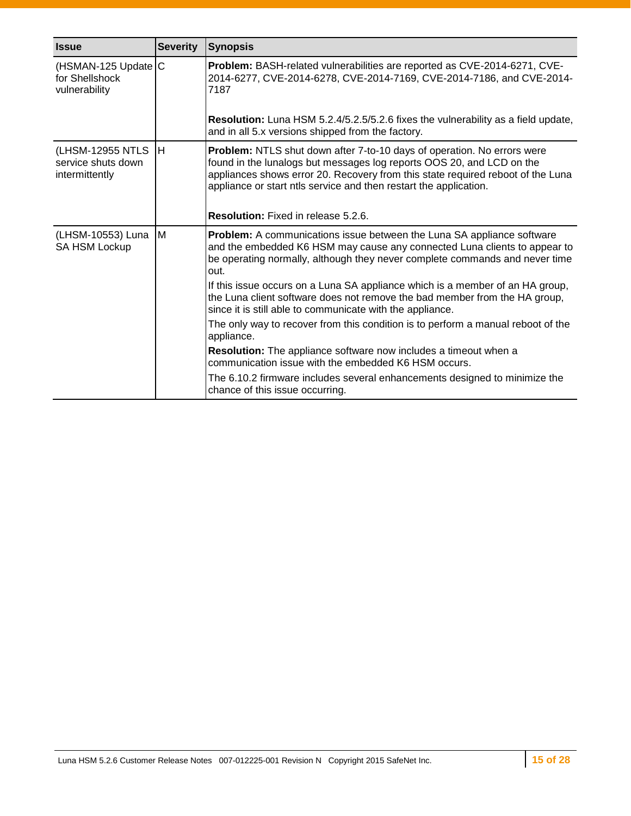| <b>Issue</b>                                             | <b>Severity</b> | <b>Synopsis</b>                                                                                                                                                                                                                                                                                          |  |  |
|----------------------------------------------------------|-----------------|----------------------------------------------------------------------------------------------------------------------------------------------------------------------------------------------------------------------------------------------------------------------------------------------------------|--|--|
| (HSMAN-125 Update C<br>for Shellshock<br>vulnerability   |                 | Problem: BASH-related vulnerabilities are reported as CVE-2014-6271, CVE-<br>2014-6277, CVE-2014-6278, CVE-2014-7169, CVE-2014-7186, and CVE-2014-<br>7187                                                                                                                                               |  |  |
|                                                          |                 | Resolution: Luna HSM 5.2.4/5.2.5/5.2.6 fixes the vulnerability as a field update,<br>and in all 5.x versions shipped from the factory.                                                                                                                                                                   |  |  |
| (LHSM-12955 NTLS<br>service shuts down<br>intermittently | Iн              | Problem: NTLS shut down after 7-to-10 days of operation. No errors were<br>found in the lunalogs but messages log reports OOS 20, and LCD on the<br>appliances shows error 20. Recovery from this state required reboot of the Luna<br>appliance or start ntls service and then restart the application. |  |  |
|                                                          |                 | Resolution: Fixed in release 5.2.6.                                                                                                                                                                                                                                                                      |  |  |
| (LHSM-10553) Luna<br><b>SA HSM Lockup</b>                | M               | <b>Problem:</b> A communications issue between the Luna SA appliance software<br>and the embedded K6 HSM may cause any connected Luna clients to appear to<br>be operating normally, although they never complete commands and never time<br>out.                                                        |  |  |
|                                                          |                 | If this issue occurs on a Luna SA appliance which is a member of an HA group,<br>the Luna client software does not remove the bad member from the HA group,<br>since it is still able to communicate with the appliance.                                                                                 |  |  |
|                                                          |                 | The only way to recover from this condition is to perform a manual reboot of the<br>appliance.                                                                                                                                                                                                           |  |  |
|                                                          |                 | <b>Resolution:</b> The appliance software now includes a timeout when a<br>communication issue with the embedded K6 HSM occurs.                                                                                                                                                                          |  |  |
|                                                          |                 | The 6.10.2 firmware includes several enhancements designed to minimize the<br>chance of this issue occurring.                                                                                                                                                                                            |  |  |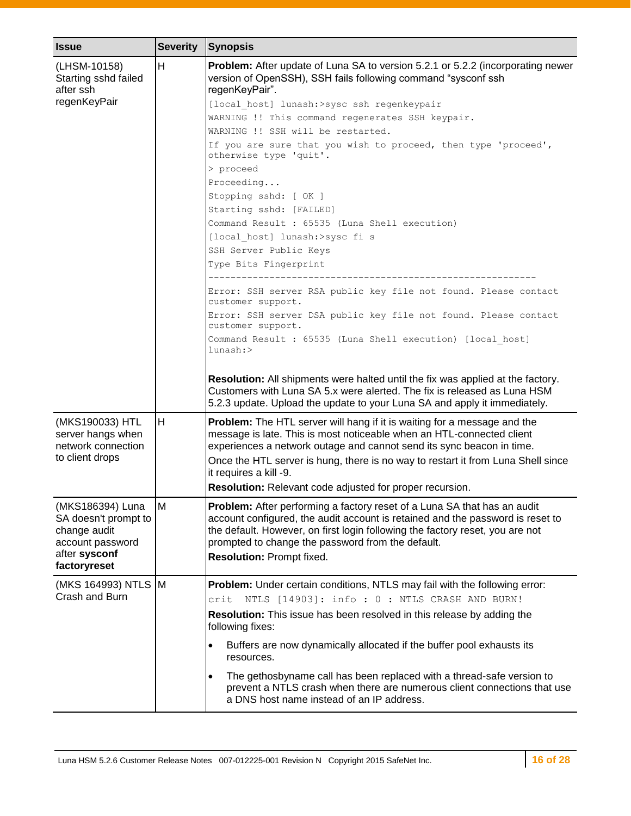| <b>Issue</b>                                                                                                  | <b>Severity</b> | Synopsis                                                                                                                                                                                                                                                                                                                      |  |
|---------------------------------------------------------------------------------------------------------------|-----------------|-------------------------------------------------------------------------------------------------------------------------------------------------------------------------------------------------------------------------------------------------------------------------------------------------------------------------------|--|
| (LHSM-10158)<br>Starting sshd failed<br>after ssh                                                             | H               | <b>Problem:</b> After update of Luna SA to version 5.2.1 or 5.2.2 (incorporating newer<br>version of OpenSSH), SSH fails following command "sysconf ssh<br>regenKeyPair".                                                                                                                                                     |  |
| regenKeyPair                                                                                                  |                 | [local host] lunash:>sysc ssh regenkeypair                                                                                                                                                                                                                                                                                    |  |
|                                                                                                               |                 | WARNING !! This command regenerates SSH keypair.                                                                                                                                                                                                                                                                              |  |
|                                                                                                               |                 | WARNING !! SSH will be restarted.                                                                                                                                                                                                                                                                                             |  |
|                                                                                                               |                 | If you are sure that you wish to proceed, then type 'proceed',<br>otherwise type 'quit'.                                                                                                                                                                                                                                      |  |
|                                                                                                               |                 | > proceed                                                                                                                                                                                                                                                                                                                     |  |
|                                                                                                               |                 | Proceeding                                                                                                                                                                                                                                                                                                                    |  |
|                                                                                                               |                 | Stopping sshd: [ OK ]                                                                                                                                                                                                                                                                                                         |  |
|                                                                                                               |                 | Starting sshd: [FAILED]                                                                                                                                                                                                                                                                                                       |  |
|                                                                                                               |                 | Command Result : 65535 (Luna Shell execution)                                                                                                                                                                                                                                                                                 |  |
|                                                                                                               |                 | [local host] lunash:>sysc fi s                                                                                                                                                                                                                                                                                                |  |
|                                                                                                               |                 | SSH Server Public Keys                                                                                                                                                                                                                                                                                                        |  |
|                                                                                                               |                 | Type Bits Fingerprint                                                                                                                                                                                                                                                                                                         |  |
|                                                                                                               |                 | Error: SSH server RSA public key file not found. Please contact<br>customer support.                                                                                                                                                                                                                                          |  |
|                                                                                                               |                 | Error: SSH server DSA public key file not found. Please contact                                                                                                                                                                                                                                                               |  |
|                                                                                                               |                 | customer support.                                                                                                                                                                                                                                                                                                             |  |
|                                                                                                               |                 | Command Result : 65535 (Luna Shell execution) [local host]<br>lunash:>                                                                                                                                                                                                                                                        |  |
|                                                                                                               |                 | Resolution: All shipments were halted until the fix was applied at the factory.<br>Customers with Luna SA 5.x were alerted. The fix is released as Luna HSM<br>5.2.3 update. Upload the update to your Luna SA and apply it immediately.                                                                                      |  |
| (MKS190033) HTL<br>server hangs when<br>network connection                                                    | H               | <b>Problem:</b> The HTL server will hang if it is waiting for a message and the<br>message is late. This is most noticeable when an HTL-connected client<br>experiences a network outage and cannot send its sync beacon in time.                                                                                             |  |
| to client drops                                                                                               |                 | Once the HTL server is hung, there is no way to restart it from Luna Shell since<br>it requires a kill -9.                                                                                                                                                                                                                    |  |
|                                                                                                               |                 | <b>Resolution:</b> Relevant code adjusted for proper recursion.                                                                                                                                                                                                                                                               |  |
| (MKS186394) Luna<br>SA doesn't prompt to<br>change audit<br>account password<br>after sysconf<br>factoryreset | M               | Problem: After performing a factory reset of a Luna SA that has an audit<br>account configured, the audit account is retained and the password is reset to<br>the default. However, on first login following the factory reset, you are not<br>prompted to change the password from the default.<br>Resolution: Prompt fixed. |  |
|                                                                                                               |                 |                                                                                                                                                                                                                                                                                                                               |  |
| (MKS 164993) NTLS M<br>Crash and Burn                                                                         |                 | Problem: Under certain conditions, NTLS may fail with the following error:                                                                                                                                                                                                                                                    |  |
|                                                                                                               |                 | NTLS [14903]: info: 0: NTLS CRASH AND BURN!<br>crit                                                                                                                                                                                                                                                                           |  |
|                                                                                                               |                 | <b>Resolution:</b> This issue has been resolved in this release by adding the<br>following fixes:                                                                                                                                                                                                                             |  |
|                                                                                                               |                 | Buffers are now dynamically allocated if the buffer pool exhausts its<br>$\bullet$<br>resources.                                                                                                                                                                                                                              |  |
|                                                                                                               |                 | The gethosbyname call has been replaced with a thread-safe version to<br>$\bullet$<br>prevent a NTLS crash when there are numerous client connections that use<br>a DNS host name instead of an IP address.                                                                                                                   |  |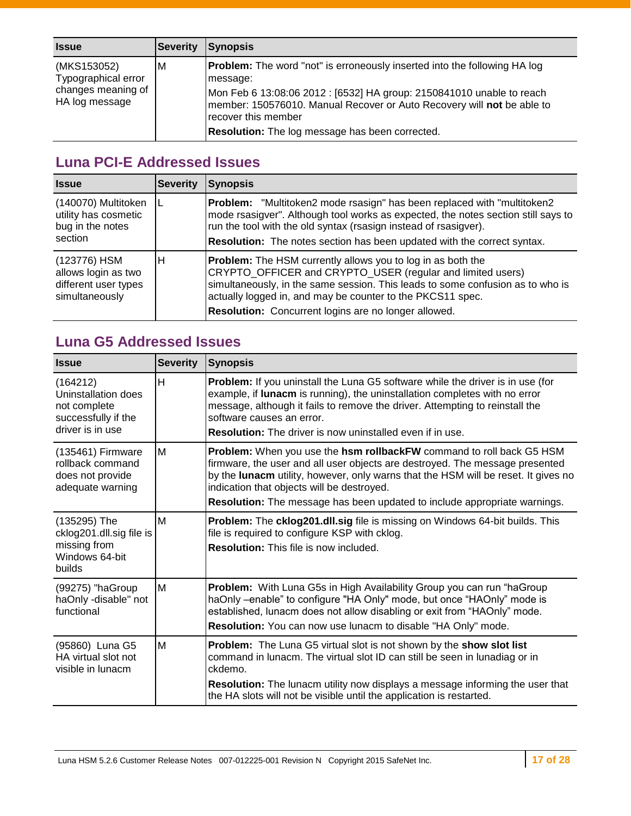| <b>Issue</b>                                                               | <b>Severity</b> | <b>Synopsis</b>                                                                                                                                                                                                                                                                                                                  |
|----------------------------------------------------------------------------|-----------------|----------------------------------------------------------------------------------------------------------------------------------------------------------------------------------------------------------------------------------------------------------------------------------------------------------------------------------|
| (MKS153052)<br>Typographical error<br>changes meaning of<br>HA log message | M               | <b>Problem:</b> The word "not" is erroneously inserted into the following HA log<br>message:<br>Mon Feb 6 13:08:06 2012 : [6532] HA group: 2150841010 unable to reach<br>member: 150576010. Manual Recover or Auto Recovery will not be able to<br>recover this member<br><b>Resolution:</b> The log message has been corrected. |

## <span id="page-16-0"></span>**Luna PCI-E Addressed Issues**

| <b>Issue</b>                                                                  | <b>Severity</b> | <b>Synopsis</b>                                                                                                                                                                                                                                                                                                                          |  |
|-------------------------------------------------------------------------------|-----------------|------------------------------------------------------------------------------------------------------------------------------------------------------------------------------------------------------------------------------------------------------------------------------------------------------------------------------------------|--|
| (140070) Multitoken<br>utility has cosmetic<br>bug in the notes<br>section    |                 | <b>Problem:</b> "Multitoken2 mode rsasign" has been replaced with "multitoken2<br>mode rsasigver". Although tool works as expected, the notes section still says to<br>run the tool with the old syntax (rsasign instead of rsasigver).<br>Resolution: The notes section has been updated with the correct syntax.                       |  |
| (123776) HSM<br>allows login as two<br>different user types<br>simultaneously | н               | <b>Problem:</b> The HSM currently allows you to log in as both the<br>CRYPTO_OFFICER and CRYPTO_USER (regular and limited users)<br>simultaneously, in the same session. This leads to some confusion as to who is<br>actually logged in, and may be counter to the PKCS11 spec.<br>Resolution: Concurrent logins are no longer allowed. |  |

## <span id="page-16-1"></span>**Luna G5 Addressed Issues**

| <b>Issue</b>                                                                               | <b>Severity</b> | <b>Synopsis</b>                                                                                                                                                                                                                                                                                                                                                       |  |
|--------------------------------------------------------------------------------------------|-----------------|-----------------------------------------------------------------------------------------------------------------------------------------------------------------------------------------------------------------------------------------------------------------------------------------------------------------------------------------------------------------------|--|
| (164212)<br>Uninstallation does<br>not complete<br>successfully if the<br>driver is in use | н               | Problem: If you uninstall the Luna G5 software while the driver is in use (for<br>example, if lunacm is running), the uninstallation completes with no error<br>message, although it fails to remove the driver. Attempting to reinstall the<br>software causes an error.<br><b>Resolution:</b> The driver is now uninstalled even if in use.                         |  |
| (135461) Firmware<br>rollback command<br>does not provide<br>adequate warning              | M               | Problem: When you use the hsm rollbackFW command to roll back G5 HSM<br>firmware, the user and all user objects are destroyed. The message presented<br>by the lunacm utility, however, only warns that the HSM will be reset. It gives no<br>indication that objects will be destroyed.<br>Resolution: The message has been updated to include appropriate warnings. |  |
| (135295) The<br>cklog201.dll.sig file is<br>missing from<br>Windows 64-bit<br>builds       | м               | Problem: The cklog201.dll.sig file is missing on Windows 64-bit builds. This<br>file is required to configure KSP with cklog.<br><b>Resolution:</b> This file is now included.                                                                                                                                                                                        |  |
| (99275) "haGroup<br>haOnly -disable" not<br>functional                                     | м               | Problem: With Luna G5s in High Availability Group you can run "haGroup<br>haOnly -enable" to configure "HA Only" mode, but once "HAOnly" mode is<br>established, lunacm does not allow disabling or exit from "HAOnly" mode.<br>Resolution: You can now use lunacm to disable "HA Only" mode.                                                                         |  |
| (95860) Luna G5<br>HA virtual slot not<br>visible in lunacm                                | M               | Problem: The Luna G5 virtual slot is not shown by the show slot list<br>command in lunacm. The virtual slot ID can still be seen in lunadiag or in<br>ckdemo.<br>Resolution: The lunacm utility now displays a message informing the user that<br>the HA slots will not be visible until the application is restarted.                                                |  |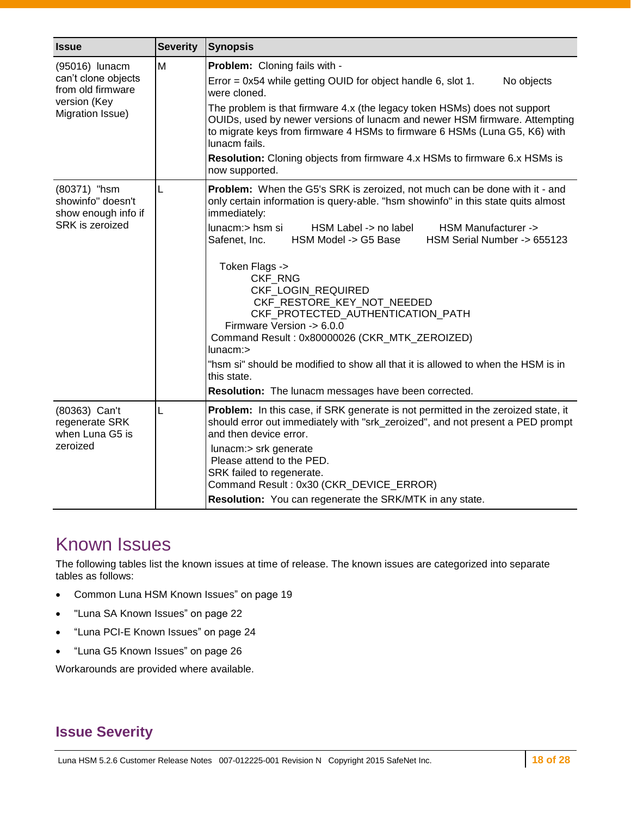| <b>Issue</b>                                                                                   | <b>Severity</b> | Synopsis                                                                                                                                                                                                                                                                                                                                                                                                                                                                                                                                                                                                                                                                                                           |  |
|------------------------------------------------------------------------------------------------|-----------------|--------------------------------------------------------------------------------------------------------------------------------------------------------------------------------------------------------------------------------------------------------------------------------------------------------------------------------------------------------------------------------------------------------------------------------------------------------------------------------------------------------------------------------------------------------------------------------------------------------------------------------------------------------------------------------------------------------------------|--|
| (95016) lunacm<br>can't clone objects<br>from old firmware<br>version (Key<br>Migration Issue) | M               | <b>Problem:</b> Cloning fails with -<br>Error = $0x54$ while getting OUID for object handle 6, slot 1.<br>No objects<br>were cloned.<br>The problem is that firmware 4.x (the legacy token HSMs) does not support<br>OUIDs, used by newer versions of lunacm and newer HSM firmware. Attempting<br>to migrate keys from firmware 4 HSMs to firmware 6 HSMs (Luna G5, K6) with<br>lunacm fails.<br><b>Resolution:</b> Cloning objects from firmware 4.x HSMs to firmware 6.x HSMs is<br>now supported.                                                                                                                                                                                                              |  |
| (80371) "hsm<br>showinfo" doesn't<br>show enough info if<br><b>SRK</b> is zeroized             | L               | Problem: When the G5's SRK is zeroized, not much can be done with it - and<br>only certain information is query-able. "hsm showinfo" in this state quits almost<br>immediately:<br>lunacm:> hsm si<br>HSM Label -> no label<br>HSM Manufacturer -><br>HSM Model -> G5 Base<br>HSM Serial Number -> 655123<br>Safenet, Inc.<br>Token Flags -><br><b>CKF RNG</b><br>CKF_LOGIN_REQUIRED<br>CKF_RESTORE_KEY_NOT_NEEDED<br>CKF_PROTECTED_AUTHENTICATION_PATH<br>Firmware Version -> 6.0.0<br>Command Result: 0x80000026 (CKR_MTK_ZEROIZED)<br>$l$ unacm: $>$<br>"hsm si" should be modified to show all that it is allowed to when the HSM is in<br>this state.<br>Resolution: The lunacm messages have been corrected. |  |
| (80363) Can't<br>regenerate SRK<br>when Luna G5 is<br>zeroized                                 | L               | Problem: In this case, if SRK generate is not permitted in the zeroized state, it<br>should error out immediately with "srk_zeroized", and not present a PED prompt<br>and then device error.<br>lunacm:> srk generate<br>Please attend to the PED.<br>SRK failed to regenerate.<br>Command Result: 0x30 (CKR_DEVICE_ERROR)<br>Resolution: You can regenerate the SRK/MTK in any state.                                                                                                                                                                                                                                                                                                                            |  |

## <span id="page-17-0"></span>Known Issues

The following tables list the known issues at time of release. The known issues are categorized into separate tables as follows:

- Common Luna [HSM Known Issues"](#page-18-0) on page [19](#page-18-1)
- ["Luna SA Known Issues"](#page-21-0) on page [22](#page-21-0)
- ["Luna PCI-E Known Issues"](#page-23-0) on page [24](#page-23-0)
- ["Luna G5 Known Issues"](#page-25-0) on page [26](#page-25-0)

Workarounds are provided where available.

### **Issue Severity**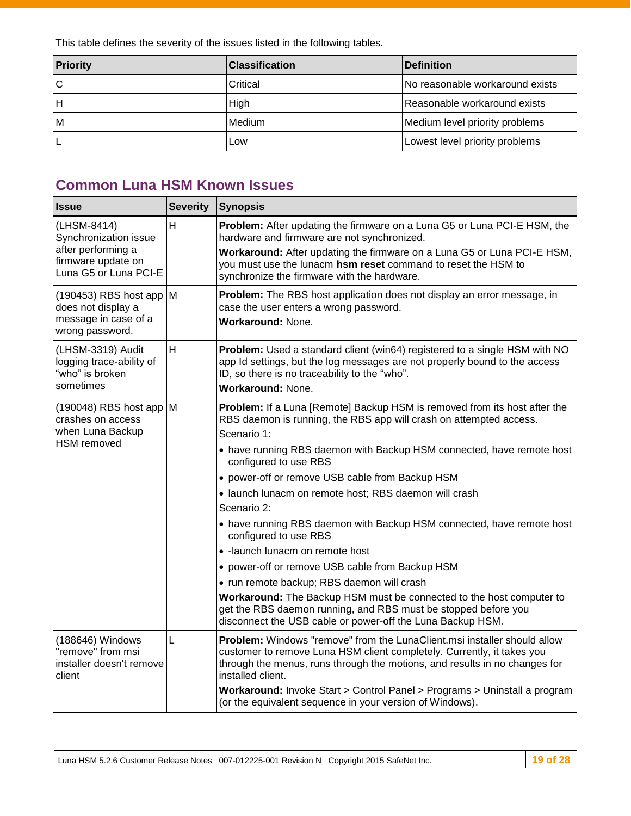This table defines the severity of the issues listed in the following tables.

| <b>Priority</b> | <b>IClassification</b> | <b>IDefinition</b>              |
|-----------------|------------------------|---------------------------------|
| C               | Critical               | No reasonable workaround exists |
|                 | High                   | Reasonable workaround exists    |
| м               | <b>Medium</b>          | Medium level priority problems  |
|                 | lLow                   | Lowest level priority problems  |

## <span id="page-18-1"></span><span id="page-18-0"></span>**Common Luna HSM Known Issues**

| <b>Issue</b>                                                                  | <b>Severity</b> | <b>Synopsis</b>                                                                                                                                                                                                                                       |
|-------------------------------------------------------------------------------|-----------------|-------------------------------------------------------------------------------------------------------------------------------------------------------------------------------------------------------------------------------------------------------|
| (LHSM-8414)<br>Synchronization issue<br>after performing a                    | H               | Problem: After updating the firmware on a Luna G5 or Luna PCI-E HSM, the<br>hardware and firmware are not synchronized.                                                                                                                               |
| firmware update on<br>Luna G5 or Luna PCI-E                                   |                 | Workaround: After updating the firmware on a Luna G5 or Luna PCI-E HSM,<br>you must use the lunacm hsm reset command to reset the HSM to<br>synchronize the firmware with the hardware.                                                               |
| $(190453)$ RBS host app M<br>does not display a<br>message in case of a       |                 | Problem: The RBS host application does not display an error message, in<br>case the user enters a wrong password.<br><b>Workaround: None.</b>                                                                                                         |
| wrong password.                                                               |                 |                                                                                                                                                                                                                                                       |
| (LHSM-3319) Audit<br>logging trace-ability of<br>"who" is broken<br>sometimes | H               | Problem: Used a standard client (win64) registered to a single HSM with NO<br>app Id settings, but the log messages are not properly bound to the access<br>ID, so there is no traceability to the "who".                                             |
|                                                                               |                 | Workaround: None.                                                                                                                                                                                                                                     |
| $(190048)$ RBS host app M<br>crashes on access                                |                 | Problem: If a Luna [Remote] Backup HSM is removed from its host after the<br>RBS daemon is running, the RBS app will crash on attempted access.                                                                                                       |
| when Luna Backup<br>HSM removed                                               |                 | Scenario 1:                                                                                                                                                                                                                                           |
|                                                                               |                 | • have running RBS daemon with Backup HSM connected, have remote host<br>configured to use RBS                                                                                                                                                        |
|                                                                               |                 | • power-off or remove USB cable from Backup HSM                                                                                                                                                                                                       |
|                                                                               |                 | · launch lunacm on remote host; RBS daemon will crash                                                                                                                                                                                                 |
|                                                                               |                 | Scenario 2:                                                                                                                                                                                                                                           |
|                                                                               |                 | • have running RBS daemon with Backup HSM connected, have remote host<br>configured to use RBS                                                                                                                                                        |
|                                                                               |                 | · - launch lunacm on remote host                                                                                                                                                                                                                      |
|                                                                               |                 | • power-off or remove USB cable from Backup HSM                                                                                                                                                                                                       |
|                                                                               |                 | • run remote backup; RBS daemon will crash                                                                                                                                                                                                            |
|                                                                               |                 | Workaround: The Backup HSM must be connected to the host computer to<br>get the RBS daemon running, and RBS must be stopped before you<br>disconnect the USB cable or power-off the Luna Backup HSM.                                                  |
| (188646) Windows<br>"remove" from msi<br>installer doesn't remove<br>client   | L               | Problem: Windows "remove" from the LunaClient.msi installer should allow<br>customer to remove Luna HSM client completely. Currently, it takes you<br>through the menus, runs through the motions, and results in no changes for<br>installed client. |
|                                                                               |                 | Workaround: Invoke Start > Control Panel > Programs > Uninstall a program<br>(or the equivalent sequence in your version of Windows).                                                                                                                 |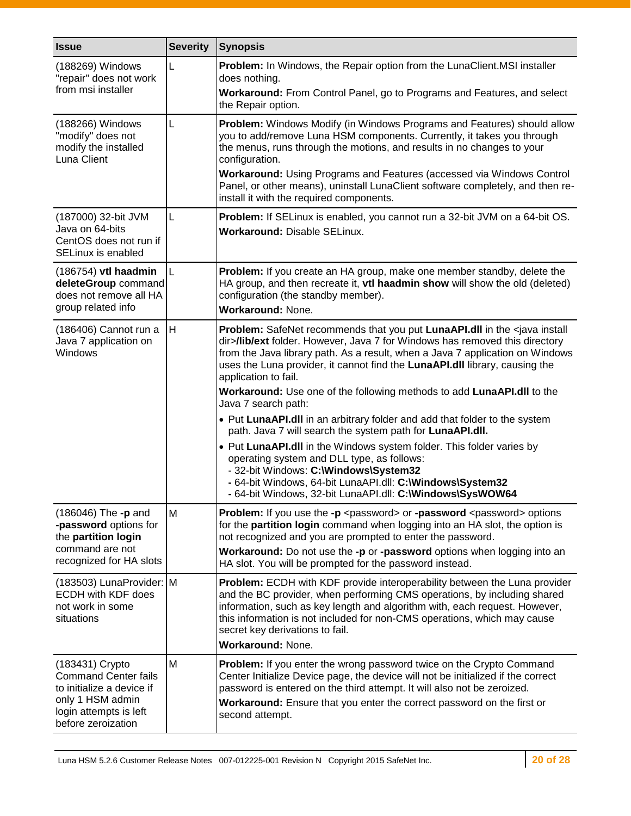| <b>Issue</b>                                                                                | <b>Severity</b> | <b>Synopsis</b>                                                                                                                                                                                                                                                                                                                                                  |
|---------------------------------------------------------------------------------------------|-----------------|------------------------------------------------------------------------------------------------------------------------------------------------------------------------------------------------------------------------------------------------------------------------------------------------------------------------------------------------------------------|
| (188269) Windows<br>"repair" does not work                                                  | L               | Problem: In Windows, the Repair option from the LunaClient.MSI installer<br>does nothing.                                                                                                                                                                                                                                                                        |
| from msi installer                                                                          |                 | Workaround: From Control Panel, go to Programs and Features, and select<br>the Repair option.                                                                                                                                                                                                                                                                    |
| (188266) Windows<br>"modify" does not<br>modify the installed<br>Luna Client                | L               | Problem: Windows Modify (in Windows Programs and Features) should allow<br>you to add/remove Luna HSM components. Currently, it takes you through<br>the menus, runs through the motions, and results in no changes to your<br>configuration.                                                                                                                    |
|                                                                                             |                 | <b>Workaround: Using Programs and Features (accessed via Windows Control</b><br>Panel, or other means), uninstall LunaClient software completely, and then re-<br>install it with the required components.                                                                                                                                                       |
| (187000) 32-bit JVM<br>Java on 64-bits<br>CentOS does not run if<br>SELinux is enabled      | L               | Problem: If SELinux is enabled, you cannot run a 32-bit JVM on a 64-bit OS.<br><b>Workaround: Disable SELinux.</b>                                                                                                                                                                                                                                               |
| (186754) vtl haadmin<br>deleteGroup command<br>does not remove all HA<br>group related info | L               | Problem: If you create an HA group, make one member standby, delete the<br>HA group, and then recreate it, vtl haadmin show will show the old (deleted)<br>configuration (the standby member).<br><b>Workaround: None.</b>                                                                                                                                       |
| (186406) Cannot run a<br>Java 7 application on<br>Windows                                   | H               | Problem: SafeNet recommends that you put LunaAPI.dll in the <java install<br="">dir&gt;/lib/ext folder. However, Java 7 for Windows has removed this directory<br/>from the Java library path. As a result, when a Java 7 application on Windows<br/>uses the Luna provider, it cannot find the LunaAPI.dll library, causing the<br/>application to fail.</java> |
|                                                                                             |                 | Workaround: Use one of the following methods to add LunaAPI.dll to the<br>Java 7 search path:                                                                                                                                                                                                                                                                    |
|                                                                                             |                 | • Put LunaAPI.dll in an arbitrary folder and add that folder to the system<br>path. Java 7 will search the system path for LunaAPI.dll.                                                                                                                                                                                                                          |
|                                                                                             |                 | • Put LunaAPI.dll in the Windows system folder. This folder varies by<br>operating system and DLL type, as follows:<br>- 32-bit Windows: C:\Windows\System32                                                                                                                                                                                                     |
|                                                                                             |                 | - 64-bit Windows, 64-bit LunaAPI.dll: C:\Windows\System32<br>- 64-bit Windows, 32-bit LunaAPI.dll: C:\Windows\SysWOW64                                                                                                                                                                                                                                           |
| (186046) The -p and<br>-password options for<br>the partition login                         | M               | <b>Problem:</b> If you use the -p <password> or -password <password> options<br/>for the partition login command when logging into an HA slot, the option is<br/>not recognized and you are prompted to enter the password.</password></password>                                                                                                                |
| command are not<br>recognized for HA slots                                                  |                 | Workaround: Do not use the -p or -password options when logging into an<br>HA slot. You will be prompted for the password instead.                                                                                                                                                                                                                               |
| (183503) LunaProvider: M<br>ECDH with KDF does<br>not work in some<br>situations            |                 | Problem: ECDH with KDF provide interoperability between the Luna provider<br>and the BC provider, when performing CMS operations, by including shared<br>information, such as key length and algorithm with, each request. However,<br>this information is not included for non-CMS operations, which may cause<br>secret key derivations to fail.               |
|                                                                                             |                 | Workaround: None.                                                                                                                                                                                                                                                                                                                                                |
| (183431) Crypto<br><b>Command Center fails</b><br>to initialize a device if                 | M               | Problem: If you enter the wrong password twice on the Crypto Command<br>Center Initialize Device page, the device will not be initialized if the correct<br>password is entered on the third attempt. It will also not be zeroized.                                                                                                                              |
| only 1 HSM admin<br>login attempts is left<br>before zeroization                            |                 | Workaround: Ensure that you enter the correct password on the first or<br>second attempt.                                                                                                                                                                                                                                                                        |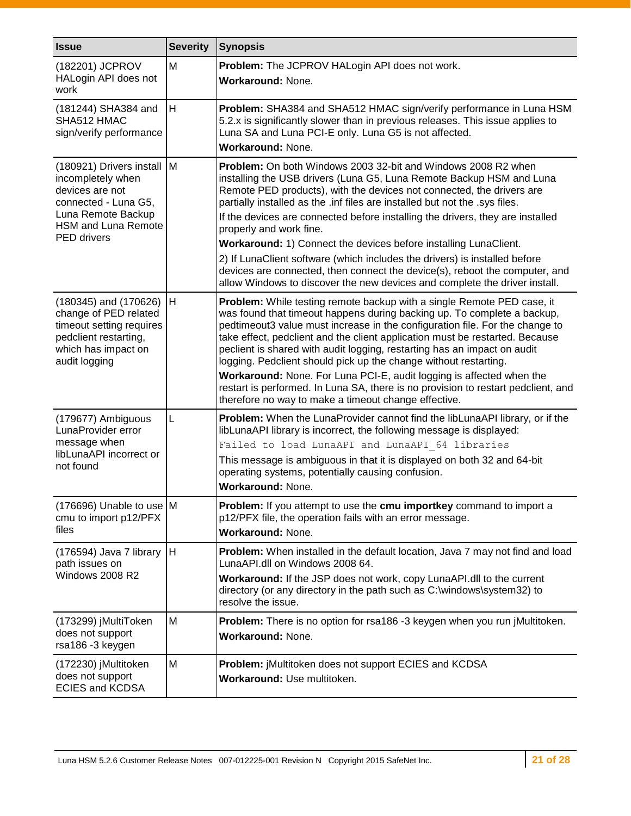| <b>Issue</b>                                                                                                                                                         | <b>Severity</b> | <b>Synopsis</b>                                                                                                                                                                                                                                                                                                                                                                                                                                                                                                                                                                                                                                                                                                                  |
|----------------------------------------------------------------------------------------------------------------------------------------------------------------------|-----------------|----------------------------------------------------------------------------------------------------------------------------------------------------------------------------------------------------------------------------------------------------------------------------------------------------------------------------------------------------------------------------------------------------------------------------------------------------------------------------------------------------------------------------------------------------------------------------------------------------------------------------------------------------------------------------------------------------------------------------------|
| (182201) JCPROV<br>HALogin API does not<br>work                                                                                                                      | M               | Problem: The JCPROV HALogin API does not work.<br>Workaround: None.                                                                                                                                                                                                                                                                                                                                                                                                                                                                                                                                                                                                                                                              |
| (181244) SHA384 and<br>SHA512 HMAC<br>sign/verify performance                                                                                                        | H               | Problem: SHA384 and SHA512 HMAC sign/verify performance in Luna HSM<br>5.2.x is significantly slower than in previous releases. This issue applies to<br>Luna SA and Luna PCI-E only. Luna G5 is not affected.<br>Workaround: None.                                                                                                                                                                                                                                                                                                                                                                                                                                                                                              |
| (180921) Drivers install M<br>incompletely when<br>devices are not<br>connected - Luna G5,<br>Luna Remote Backup<br><b>HSM and Luna Remote</b><br><b>PED</b> drivers |                 | <b>Problem:</b> On both Windows 2003 32-bit and Windows 2008 R2 when<br>installing the USB drivers (Luna G5, Luna Remote Backup HSM and Luna<br>Remote PED products), with the devices not connected, the drivers are<br>partially installed as the .inf files are installed but not the .sys files.<br>If the devices are connected before installing the drivers, they are installed<br>properly and work fine.<br>Workaround: 1) Connect the devices before installing LunaClient.<br>2) If LunaClient software (which includes the drivers) is installed before<br>devices are connected, then connect the device(s), reboot the computer, and<br>allow Windows to discover the new devices and complete the driver install. |
| $(180345)$ and $(170626)$ H<br>change of PED related<br>timeout setting requires<br>pedclient restarting,<br>which has impact on<br>audit logging                    |                 | Problem: While testing remote backup with a single Remote PED case, it<br>was found that timeout happens during backing up. To complete a backup,<br>pedtimeout3 value must increase in the configuration file. For the change to<br>take effect, pedclient and the client application must be restarted. Because<br>peclient is shared with audit logging, restarting has an impact on audit<br>logging. Pedclient should pick up the change without restarting.<br>Workaround: None. For Luna PCI-E, audit logging is affected when the<br>restart is performed. In Luna SA, there is no provision to restart pedclient, and<br>therefore no way to make a timeout change effective.                                           |
| (179677) Ambiguous<br>LunaProvider error<br>message when<br>libLunaAPI incorrect or<br>not found                                                                     | L               | Problem: When the LunaProvider cannot find the libLunaAPI library, or if the<br>libLunaAPI library is incorrect, the following message is displayed:<br>Failed to load LunaAPI and LunaAPI 64 libraries<br>This message is ambiguous in that it is displayed on both 32 and 64-bit<br>operating systems, potentially causing confusion.<br>Workaround: None.                                                                                                                                                                                                                                                                                                                                                                     |
| $(176696)$ Unable to use M<br>cmu to import p12/PFX<br>files                                                                                                         |                 | Problem: If you attempt to use the cmu importkey command to import a<br>p12/PFX file, the operation fails with an error message.<br>Workaround: None.                                                                                                                                                                                                                                                                                                                                                                                                                                                                                                                                                                            |
| (176594) Java 7 library $ H $<br>path issues on<br>Windows 2008 R2                                                                                                   |                 | Problem: When installed in the default location, Java 7 may not find and load<br>LunaAPI.dll on Windows 2008 64.<br>Workaround: If the JSP does not work, copy LunaAPI.dll to the current<br>directory (or any directory in the path such as C:\windows\system32) to<br>resolve the issue.                                                                                                                                                                                                                                                                                                                                                                                                                                       |
| (173299) jMultiToken<br>does not support<br>rsa186 -3 keygen                                                                                                         | M               | Problem: There is no option for rsa186 -3 keygen when you run jMultitoken.<br>Workaround: None.                                                                                                                                                                                                                                                                                                                                                                                                                                                                                                                                                                                                                                  |
| (172230) jMultitoken<br>does not support<br><b>ECIES and KCDSA</b>                                                                                                   | M               | <b>Problem:</b> jMultitoken does not support ECIES and KCDSA<br>Workaround: Use multitoken.                                                                                                                                                                                                                                                                                                                                                                                                                                                                                                                                                                                                                                      |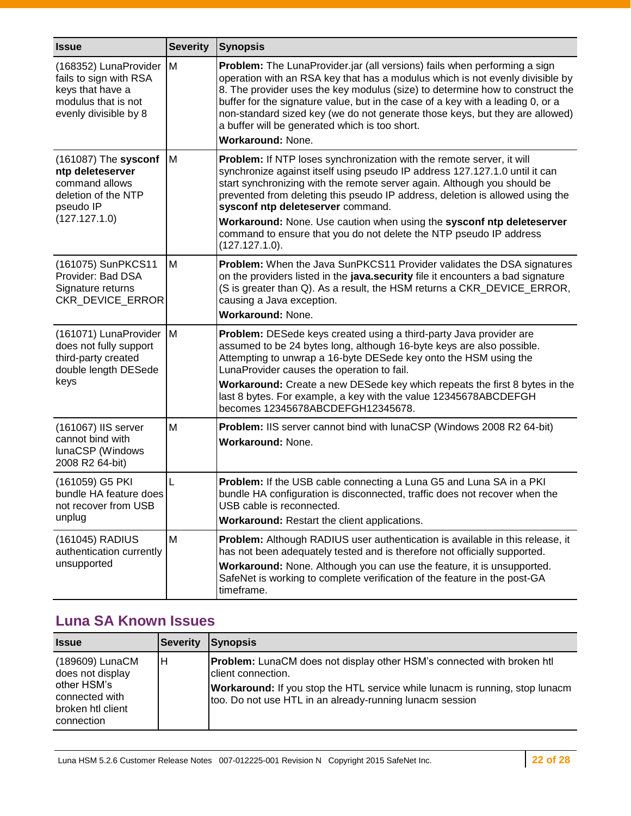| <b>Issue</b>                                                                                                          | <b>Severity</b> | <b>Synopsis</b>                                                                                                                                                                                                                                                                                                                                                                                                                                                                                                         |
|-----------------------------------------------------------------------------------------------------------------------|-----------------|-------------------------------------------------------------------------------------------------------------------------------------------------------------------------------------------------------------------------------------------------------------------------------------------------------------------------------------------------------------------------------------------------------------------------------------------------------------------------------------------------------------------------|
| (168352) LunaProvider  <br>fails to sign with RSA<br>keys that have a<br>modulus that is not<br>evenly divisible by 8 | M               | Problem: The LunaProvider.jar (all versions) fails when performing a sign<br>operation with an RSA key that has a modulus which is not evenly divisible by<br>8. The provider uses the key modulus (size) to determine how to construct the<br>buffer for the signature value, but in the case of a key with a leading 0, or a<br>non-standard sized key (we do not generate those keys, but they are allowed)<br>a buffer will be generated which is too short.<br>Workaround: None.                                   |
| (161087) The sysconf<br>ntp deleteserver<br>command allows<br>deletion of the NTP<br>pseudo IP<br>(127.127.1.0)       | M               | Problem: If NTP loses synchronization with the remote server, it will<br>synchronize against itself using pseudo IP address 127.127.1.0 until it can<br>start synchronizing with the remote server again. Although you should be<br>prevented from deleting this pseudo IP address, deletion is allowed using the<br>sysconf ntp deleteserver command.<br>Workaround: None. Use caution when using the sysconf ntp deleteserver<br>command to ensure that you do not delete the NTP pseudo IP address<br>(127.127.1.0). |
| (161075) SunPKCS11<br>Provider: Bad DSA<br>Signature returns<br>CKR_DEVICE_ERROR                                      | M               | Problem: When the Java SunPKCS11 Provider validates the DSA signatures<br>on the providers listed in the java.security file it encounters a bad signature<br>(S is greater than Q). As a result, the HSM returns a CKR_DEVICE_ERROR,<br>causing a Java exception.<br>Workaround: None.                                                                                                                                                                                                                                  |
| (161071) LunaProvider M<br>does not fully support<br>third-party created<br>double length DESede<br>keys              |                 | Problem: DESede keys created using a third-party Java provider are<br>assumed to be 24 bytes long, although 16-byte keys are also possible.<br>Attempting to unwrap a 16-byte DESede key onto the HSM using the<br>LunaProvider causes the operation to fail.<br>Workaround: Create a new DESede key which repeats the first 8 bytes in the<br>last 8 bytes. For example, a key with the value 12345678ABCDEFGH<br>becomes 12345678ABCDEFGH12345678.                                                                    |
| (161067) IIS server<br>cannot bind with<br>lunaCSP (Windows<br>2008 R2 64-bit)                                        | M               | Problem: IIS server cannot bind with lunaCSP (Windows 2008 R2 64-bit)<br><b>Workaround: None.</b>                                                                                                                                                                                                                                                                                                                                                                                                                       |
| (161059) G5 PKI<br>bundle HA feature does<br>not recover from USB<br>unplug                                           | L               | Problem: If the USB cable connecting a Luna G5 and Luna SA in a PKI<br>bundle HA configuration is disconnected, traffic does not recover when the<br>USB cable is reconnected.<br>Workaround: Restart the client applications.                                                                                                                                                                                                                                                                                          |
| (161045) RADIUS<br>authentication currently<br>unsupported                                                            | M               | Problem: Although RADIUS user authentication is available in this release, it<br>has not been adequately tested and is therefore not officially supported.<br>Workaround: None. Although you can use the feature, it is unsupported.<br>SafeNet is working to complete verification of the feature in the post-GA<br>timeframe.                                                                                                                                                                                         |

## <span id="page-21-0"></span>**Luna SA Known Issues**

| <b>Issue</b>                                                                                            | <b>Severity</b> | <b>Synopsis</b>                                                                                                                                                                                                                                        |
|---------------------------------------------------------------------------------------------------------|-----------------|--------------------------------------------------------------------------------------------------------------------------------------------------------------------------------------------------------------------------------------------------------|
| (189609) LunaCM<br>does not display<br>other HSM's<br>connected with<br>broken htl client<br>connection | IН              | <b>Problem:</b> LunaCM does not display other HSM's connected with broken htl<br>client connection.<br><b>Workaround:</b> If you stop the HTL service while lunacm is running, stop lunacm<br>too. Do not use HTL in an already-running lunacm session |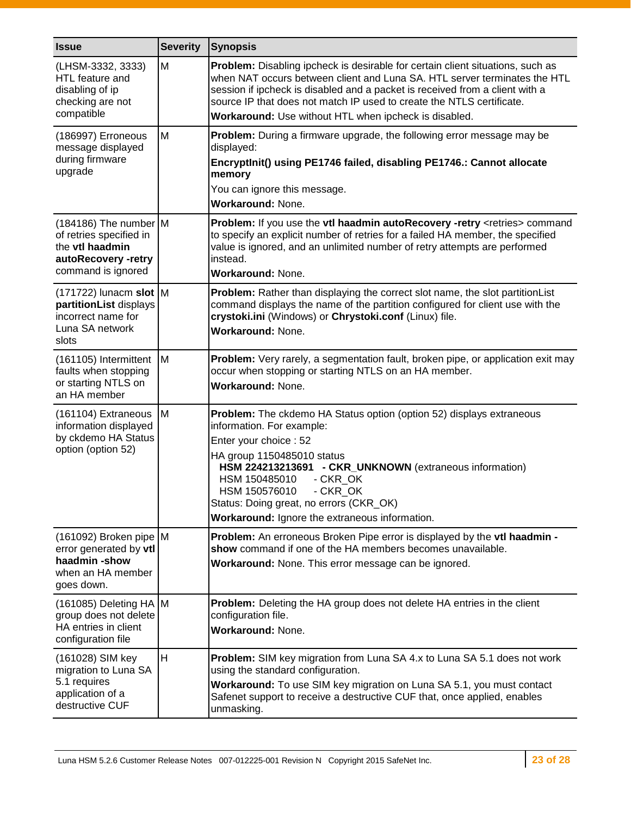| <b>Issue</b>                                                                                                              | <b>Severity</b> | <b>Synopsis</b>                                                                                                                                                                                                                                                                                                                                                               |
|---------------------------------------------------------------------------------------------------------------------------|-----------------|-------------------------------------------------------------------------------------------------------------------------------------------------------------------------------------------------------------------------------------------------------------------------------------------------------------------------------------------------------------------------------|
| (LHSM-3332, 3333)<br>HTL feature and<br>disabling of ip<br>checking are not<br>compatible                                 | M               | Problem: Disabling ipcheck is desirable for certain client situations, such as<br>when NAT occurs between client and Luna SA. HTL server terminates the HTL<br>session if ipcheck is disabled and a packet is received from a client with a<br>source IP that does not match IP used to create the NTLS certificate.<br>Workaround: Use without HTL when ipcheck is disabled. |
| (186997) Erroneous<br>message displayed<br>during firmware<br>upgrade                                                     | M               | Problem: During a firmware upgrade, the following error message may be<br>displayed:<br>EncryptInit() using PE1746 failed, disabling PE1746.: Cannot allocate<br>memory<br>You can ignore this message.<br>Workaround: None.                                                                                                                                                  |
| $(184186)$ The number M<br>of retries specified in<br>the <b>vtl haadmin</b><br>autoRecovery -retry<br>command is ignored |                 | Problem: If you use the vtl haadmin autoRecovery -retry <retries> command<br/>to specify an explicit number of retries for a failed HA member, the specified<br/>value is ignored, and an unlimited number of retry attempts are performed<br/>instead.<br/>Workaround: None.</retries>                                                                                       |
| $(171722)$ lunacm slot M<br>partitionList displays<br>incorrect name for<br>Luna SA network<br>slots                      |                 | <b>Problem:</b> Rather than displaying the correct slot name, the slot partition List<br>command displays the name of the partition configured for client use with the<br>crystoki.ini (Windows) or Chrystoki.conf (Linux) file.<br><b>Workaround: None.</b>                                                                                                                  |
| (161105) Intermittent<br>faults when stopping<br>or starting NTLS on<br>an HA member                                      | M               | Problem: Very rarely, a segmentation fault, broken pipe, or application exit may<br>occur when stopping or starting NTLS on an HA member.<br><b>Workaround: None.</b>                                                                                                                                                                                                         |
| (161104) Extraneous<br>information displayed<br>by ckdemo HA Status<br>option (option 52)                                 | Iм              | Problem: The ckdemo HA Status option (option 52) displays extraneous<br>information. For example:<br>Enter your choice: 52<br>HA group 1150485010 status<br>HSM 224213213691 - CKR_UNKNOWN (extraneous information)<br>HSM 150485010<br>- CKR OK<br>HSM 150576010<br>- CKR_OK<br>Status: Doing great, no errors (CKR_OK)<br>Workaround: Ignore the extraneous information.    |
| (161092) Broken pipe M<br>error generated by vtl<br>haadmin-show<br>when an HA member<br>goes down.                       |                 | Problem: An erroneous Broken Pipe error is displayed by the vtl haadmin -<br>show command if one of the HA members becomes unavailable.<br>Workaround: None. This error message can be ignored.                                                                                                                                                                               |
| (161085) Deleting HA M<br>group does not delete<br>HA entries in client<br>configuration file                             |                 | Problem: Deleting the HA group does not delete HA entries in the client<br>configuration file.<br>Workaround: None.                                                                                                                                                                                                                                                           |
| (161028) SIM key<br>migration to Luna SA<br>5.1 requires<br>application of a<br>destructive CUF                           | H               | <b>Problem:</b> SIM key migration from Luna SA 4.x to Luna SA 5.1 does not work<br>using the standard configuration.<br>Workaround: To use SIM key migration on Luna SA 5.1, you must contact<br>Safenet support to receive a destructive CUF that, once applied, enables<br>unmasking.                                                                                       |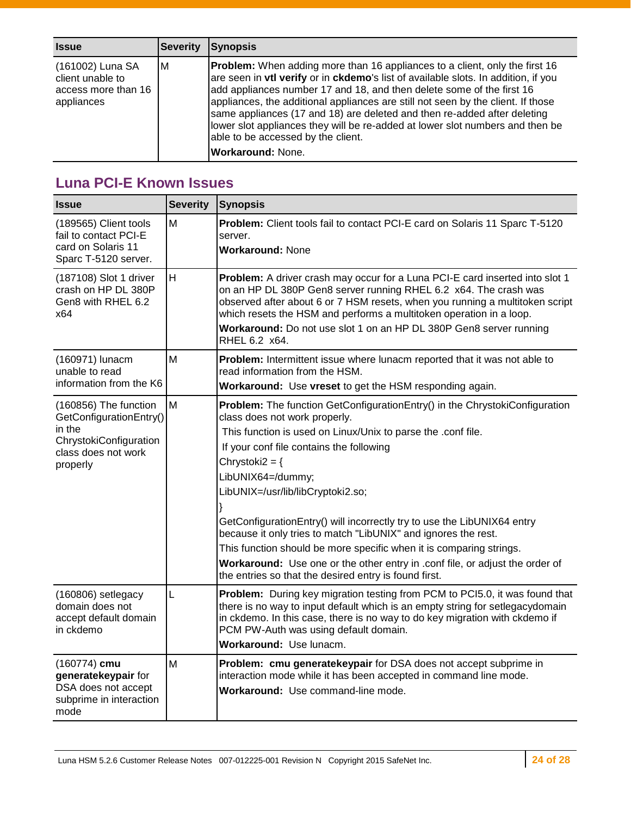| <b>Issue</b>                                                              | <b>Severity</b> | <b>Synopsis</b>                                                                                                                                                                                                                                                                                                                                                                                                                                                                                                                                                      |
|---------------------------------------------------------------------------|-----------------|----------------------------------------------------------------------------------------------------------------------------------------------------------------------------------------------------------------------------------------------------------------------------------------------------------------------------------------------------------------------------------------------------------------------------------------------------------------------------------------------------------------------------------------------------------------------|
| (161002) Luna SA<br>client unable to<br>access more than 16<br>appliances | ΙM              | <b>Problem:</b> When adding more than 16 appliances to a client, only the first 16<br>are seen in vtl verify or in ckdemo's list of available slots. In addition, if you<br>add appliances number 17 and 18, and then delete some of the first 16<br>appliances, the additional appliances are still not seen by the client. If those<br>same appliances (17 and 18) are deleted and then re-added after deleting<br>lower slot appliances they will be re-added at lower slot numbers and then be<br>able to be accessed by the client.<br><b>Workaround: None.</b> |

## <span id="page-23-0"></span>**Luna PCI-E Known Issues**

| <b>Issue</b>                                                                                                            | <b>Severity</b> | <b>Synopsis</b>                                                                                                                                                                                                                                                                                                                                                                                                                                                                                                                                                                                                                                                       |
|-------------------------------------------------------------------------------------------------------------------------|-----------------|-----------------------------------------------------------------------------------------------------------------------------------------------------------------------------------------------------------------------------------------------------------------------------------------------------------------------------------------------------------------------------------------------------------------------------------------------------------------------------------------------------------------------------------------------------------------------------------------------------------------------------------------------------------------------|
| (189565) Client tools<br>fail to contact PCI-E<br>card on Solaris 11<br>Sparc T-5120 server.                            | M               | Problem: Client tools fail to contact PCI-E card on Solaris 11 Sparc T-5120<br>server.<br><b>Workaround: None</b>                                                                                                                                                                                                                                                                                                                                                                                                                                                                                                                                                     |
| (187108) Slot 1 driver<br>crash on HP DL 380P<br>Gen8 with RHEL 6.2<br>x64                                              | H               | Problem: A driver crash may occur for a Luna PCI-E card inserted into slot 1<br>on an HP DL 380P Gen8 server running RHEL 6.2 x64. The crash was<br>observed after about 6 or 7 HSM resets, when you running a multitoken script<br>which resets the HSM and performs a multitoken operation in a loop.<br>Workaround: Do not use slot 1 on an HP DL 380P Gen8 server running<br>RHEL 6.2 x64.                                                                                                                                                                                                                                                                        |
| (160971) lunacm<br>unable to read<br>information from the K6                                                            | M               | Problem: Intermittent issue where lunacm reported that it was not able to<br>read information from the HSM.<br>Workaround: Use vreset to get the HSM responding again.                                                                                                                                                                                                                                                                                                                                                                                                                                                                                                |
| (160856) The function<br>GetConfigurationEntry()<br>in the<br>ChrystokiConfiguration<br>class does not work<br>properly | M               | Problem: The function GetConfigurationEntry() in the ChrystokiConfiguration<br>class does not work properly.<br>This function is used on Linux/Unix to parse the .conf file.<br>If your conf file contains the following<br>Chrystoki $2 = \{$<br>LibUNIX64=/dummy;<br>LibUNIX=/usr/lib/libCryptoki2.so;<br>GetConfigurationEntry() will incorrectly try to use the LibUNIX64 entry<br>because it only tries to match "LibUNIX" and ignores the rest.<br>This function should be more specific when it is comparing strings.<br>Workaround: Use one or the other entry in .conf file, or adjust the order of<br>the entries so that the desired entry is found first. |
| $(160806)$ setlegacy<br>domain does not<br>accept default domain<br>in ckdemo                                           | L               | <b>Problem:</b> During key migration testing from PCM to PCI5.0, it was found that<br>there is no way to input default which is an empty string for setlegacydomain<br>in ckdemo. In this case, there is no way to do key migration with ckdemo if<br>PCM PW-Auth was using default domain.<br>Workaround: Use lunacm.                                                                                                                                                                                                                                                                                                                                                |
| (160774) cmu<br>generatekeypair for<br>DSA does not accept<br>subprime in interaction<br>mode                           | M               | Problem: cmu generatekeypair for DSA does not accept subprime in<br>interaction mode while it has been accepted in command line mode.<br>Workaround: Use command-line mode.                                                                                                                                                                                                                                                                                                                                                                                                                                                                                           |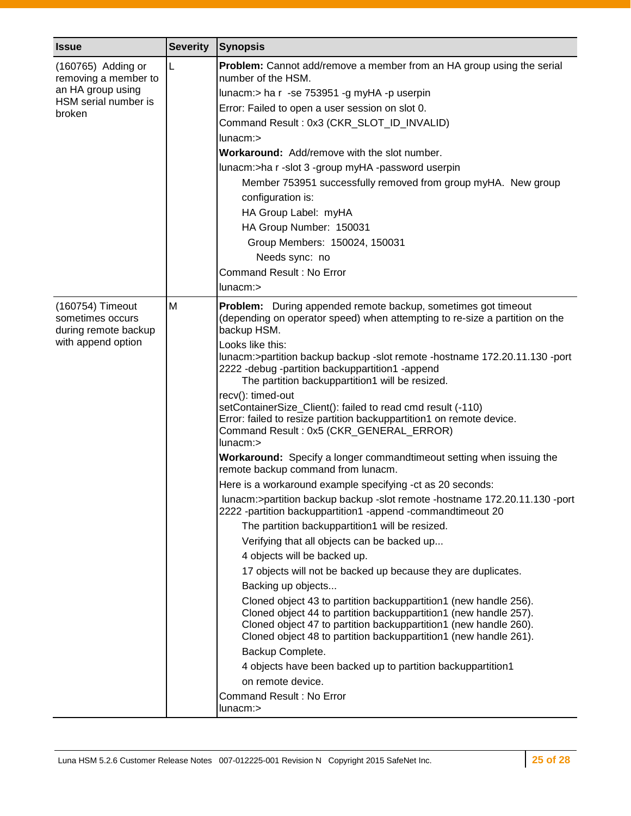| <b>Issue</b>                                                 | <b>Severity</b> | <b>Synopsis</b>                                                                                                                                                                                                                                                              |
|--------------------------------------------------------------|-----------------|------------------------------------------------------------------------------------------------------------------------------------------------------------------------------------------------------------------------------------------------------------------------------|
| (160765) Adding or<br>removing a member to                   | L               | Problem: Cannot add/remove a member from an HA group using the serial<br>number of the HSM.                                                                                                                                                                                  |
| an HA group using                                            |                 | lunacm:> ha r -se 753951 -g myHA -p userpin                                                                                                                                                                                                                                  |
| HSM serial number is<br>broken                               |                 | Error: Failed to open a user session on slot 0.                                                                                                                                                                                                                              |
|                                                              |                 | Command Result: 0x3 (CKR_SLOT_ID_INVALID)                                                                                                                                                                                                                                    |
|                                                              |                 | $l$ unacm: $>$                                                                                                                                                                                                                                                               |
|                                                              |                 | <b>Workaround:</b> Add/remove with the slot number.                                                                                                                                                                                                                          |
|                                                              |                 | lunacm:>ha r -slot 3 -group myHA -password userpin                                                                                                                                                                                                                           |
|                                                              |                 | Member 753951 successfully removed from group myHA. New group                                                                                                                                                                                                                |
|                                                              |                 | configuration is:                                                                                                                                                                                                                                                            |
|                                                              |                 | HA Group Label: myHA                                                                                                                                                                                                                                                         |
|                                                              |                 | HA Group Number: 150031                                                                                                                                                                                                                                                      |
|                                                              |                 | Group Members: 150024, 150031                                                                                                                                                                                                                                                |
|                                                              |                 | Needs sync: no                                                                                                                                                                                                                                                               |
|                                                              |                 | Command Result: No Error                                                                                                                                                                                                                                                     |
|                                                              |                 | $l$ unacm: $>$                                                                                                                                                                                                                                                               |
| (160754) Timeout<br>sometimes occurs<br>during remote backup | M               | Problem: During appended remote backup, sometimes got timeout<br>(depending on operator speed) when attempting to re-size a partition on the<br>backup HSM.                                                                                                                  |
| with append option                                           |                 | Looks like this:                                                                                                                                                                                                                                                             |
|                                                              |                 | lunacm:>partition backup backup -slot remote -hostname 172.20.11.130 -port<br>2222 - debug - partition backuppartition1 - append<br>The partition backuppartition1 will be resized.                                                                                          |
|                                                              |                 | recv(): timed-out<br>setContainerSize_Client(): failed to read cmd result (-110)<br>Error: failed to resize partition backuppartition1 on remote device.<br>Command Result: 0x5 (CKR_GENERAL_ERROR)<br>$l$ unacm: $>$                                                        |
|                                                              |                 | Workaround: Specify a longer commandtimeout setting when issuing the<br>remote backup command from lunacm.                                                                                                                                                                   |
|                                                              |                 | Here is a workaround example specifying -ct as 20 seconds:                                                                                                                                                                                                                   |
|                                                              |                 | lunacm:>partition backup backup -slot remote -hostname 172.20.11.130 -port<br>2222 -partition backuppartition1 -append -commandtimeout 20                                                                                                                                    |
|                                                              |                 | The partition backuppartition1 will be resized.                                                                                                                                                                                                                              |
|                                                              |                 | Verifying that all objects can be backed up                                                                                                                                                                                                                                  |
|                                                              |                 | 4 objects will be backed up.                                                                                                                                                                                                                                                 |
|                                                              |                 | 17 objects will not be backed up because they are duplicates.                                                                                                                                                                                                                |
|                                                              |                 | Backing up objects                                                                                                                                                                                                                                                           |
|                                                              |                 | Cloned object 43 to partition backuppartition1 (new handle 256).<br>Cloned object 44 to partition backuppartition1 (new handle 257).<br>Cloned object 47 to partition backuppartition1 (new handle 260).<br>Cloned object 48 to partition backuppartition1 (new handle 261). |
|                                                              |                 | Backup Complete.                                                                                                                                                                                                                                                             |
|                                                              |                 | 4 objects have been backed up to partition backuppartition1                                                                                                                                                                                                                  |
|                                                              |                 | on remote device.                                                                                                                                                                                                                                                            |
|                                                              |                 | Command Result: No Error<br>lunacm:>                                                                                                                                                                                                                                         |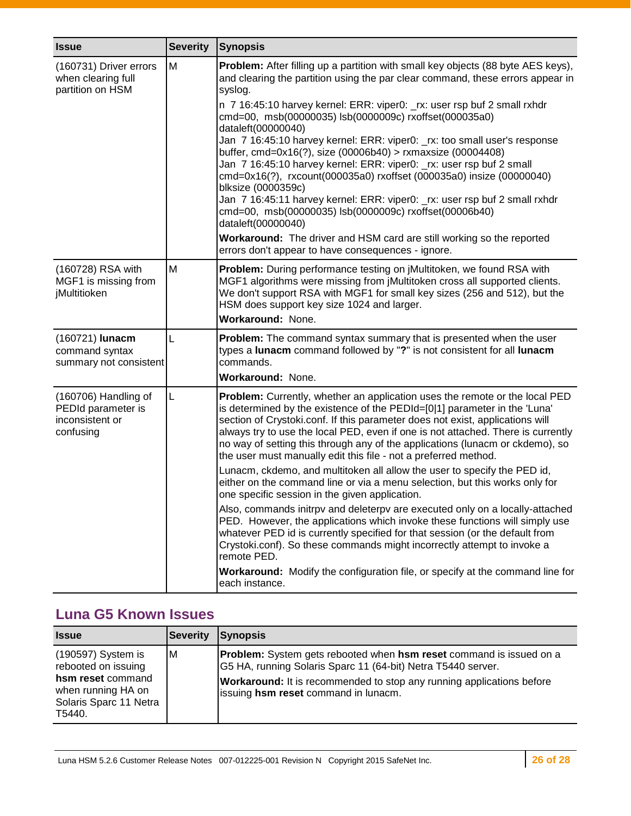| <b>Issue</b>                                                               | <b>Severity</b> | <b>Synopsis</b>                                                                                                                                                                                                                                                                                                                                                                                                                                                                                                                                                                                                                                                                                                                                                                                                                                                                                                                                                                                                                                                                                                                            |
|----------------------------------------------------------------------------|-----------------|--------------------------------------------------------------------------------------------------------------------------------------------------------------------------------------------------------------------------------------------------------------------------------------------------------------------------------------------------------------------------------------------------------------------------------------------------------------------------------------------------------------------------------------------------------------------------------------------------------------------------------------------------------------------------------------------------------------------------------------------------------------------------------------------------------------------------------------------------------------------------------------------------------------------------------------------------------------------------------------------------------------------------------------------------------------------------------------------------------------------------------------------|
| (160731) Driver errors<br>when clearing full<br>partition on HSM           | M               | <b>Problem:</b> After filling up a partition with small key objects (88 byte AES keys),<br>and clearing the partition using the par clear command, these errors appear in<br>syslog.<br>n 7 16:45:10 harvey kernel: ERR: viper0: _rx: user rsp buf 2 small rxhdr<br>cmd=00, msb(00000035) lsb(0000009c) rxoffset(000035a0)<br>dataleft(00000040)<br>Jan 7 16:45:10 harvey kernel: ERR: viper0: _rx: too small user's response<br>buffer, cmd=0x16(?), size (00006b40) > rxmaxsize (00004408)<br>Jan 7 16:45:10 harvey kernel: ERR: viper0: _rx: user rsp buf 2 small<br>cmd=0x16(?), rxcount(000035a0) rxoffset (000035a0) insize (00000040)<br>blksize (0000359c)<br>Jan 7 16:45:11 harvey kernel: ERR: viper0: _rx: user rsp buf 2 small rxhdr<br>cmd=00, msb(00000035) lsb(0000009c) rxoffset(00006b40)<br>dataleft(00000040)<br>Workaround: The driver and HSM card are still working so the reported                                                                                                                                                                                                                                  |
| (160728) RSA with<br>MGF1 is missing from<br>jMultitioken                  | M               | errors don't appear to have consequences - ignore.<br>Problem: During performance testing on jMultitoken, we found RSA with<br>MGF1 algorithms were missing from jMultitoken cross all supported clients.<br>We don't support RSA with MGF1 for small key sizes (256 and 512), but the<br>HSM does support key size 1024 and larger.<br>Workaround: None.                                                                                                                                                                                                                                                                                                                                                                                                                                                                                                                                                                                                                                                                                                                                                                                  |
| (160721) lunacm<br>command syntax<br>summary not consistent                | L               | Problem: The command syntax summary that is presented when the user<br>types a lunacm command followed by "?" is not consistent for all lunacm<br>commands.<br>Workaround: None.                                                                                                                                                                                                                                                                                                                                                                                                                                                                                                                                                                                                                                                                                                                                                                                                                                                                                                                                                           |
| (160706) Handling of<br>PEDId parameter is<br>inconsistent or<br>confusing | L               | Problem: Currently, whether an application uses the remote or the local PED<br>is determined by the existence of the PEDId=[0 1] parameter in the 'Luna'<br>section of Crystoki.conf. If this parameter does not exist, applications will<br>always try to use the local PED, even if one is not attached. There is currently<br>no way of setting this through any of the applications (lunacm or ckdemo), so<br>the user must manually edit this file - not a preferred method.<br>Lunacm, ckdemo, and multitoken all allow the user to specify the PED id,<br>either on the command line or via a menu selection, but this works only for<br>one specific session in the given application.<br>Also, commands initrpy and deleterpy are executed only on a locally-attached<br>PED. However, the applications which invoke these functions will simply use<br>whatever PED id is currently specified for that session (or the default from<br>Crystoki.conf). So these commands might incorrectly attempt to invoke a<br>remote PED.<br>Workaround: Modify the configuration file, or specify at the command line for<br>each instance. |

## <span id="page-25-0"></span>**Luna G5 Known Issues**

| <b>Issue</b>                                                                                                             | Severity | <b>Synopsis</b>                                                                                                                                                                                                                                                           |
|--------------------------------------------------------------------------------------------------------------------------|----------|---------------------------------------------------------------------------------------------------------------------------------------------------------------------------------------------------------------------------------------------------------------------------|
| (190597) System is<br>rebooted on issuing<br>hsm reset command<br>when running HA on<br>Solaris Sparc 11 Netra<br>T5440. | IМ       | <b>Problem:</b> System gets rebooted when <b>hsm reset</b> command is issued on a<br>G5 HA, running Solaris Sparc 11 (64-bit) Netra T5440 server.<br><b>Workaround:</b> It is recommended to stop any running applications before<br>issuing hsm reset command in lunacm. |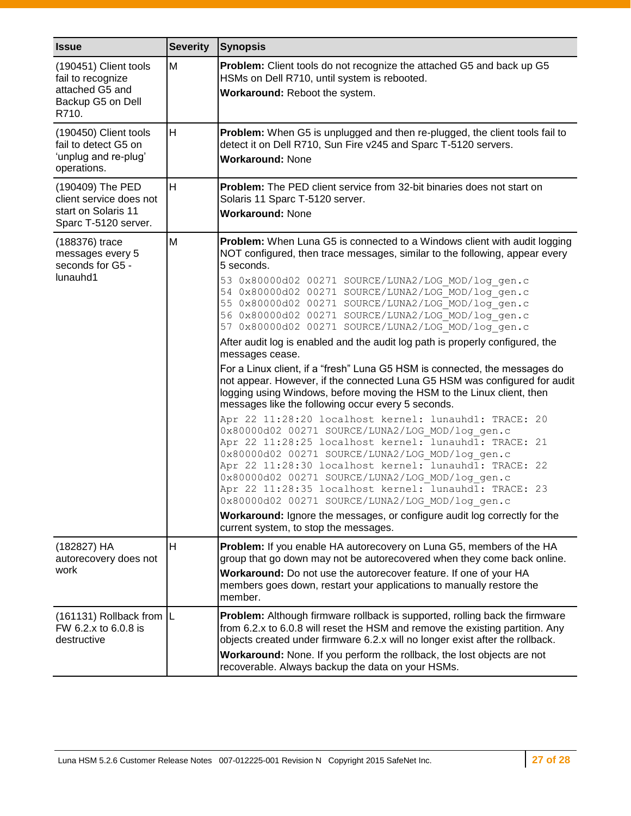| <b>Issue</b>                                                                                | <b>Severity</b> | <b>Synopsis</b>                                                                                                                                                                                                                                                                                                                                                                                                                                                                                                                                                                                                                                                                                                                                                                                                                                                                                                                                                                                                                                                                                                                                                                                                                                                                                                                                                                                                                            |
|---------------------------------------------------------------------------------------------|-----------------|--------------------------------------------------------------------------------------------------------------------------------------------------------------------------------------------------------------------------------------------------------------------------------------------------------------------------------------------------------------------------------------------------------------------------------------------------------------------------------------------------------------------------------------------------------------------------------------------------------------------------------------------------------------------------------------------------------------------------------------------------------------------------------------------------------------------------------------------------------------------------------------------------------------------------------------------------------------------------------------------------------------------------------------------------------------------------------------------------------------------------------------------------------------------------------------------------------------------------------------------------------------------------------------------------------------------------------------------------------------------------------------------------------------------------------------------|
| (190451) Client tools<br>fail to recognize<br>attached G5 and<br>Backup G5 on Dell<br>R710. | M               | Problem: Client tools do not recognize the attached G5 and back up G5<br>HSMs on Dell R710, until system is rebooted.<br>Workaround: Reboot the system.                                                                                                                                                                                                                                                                                                                                                                                                                                                                                                                                                                                                                                                                                                                                                                                                                                                                                                                                                                                                                                                                                                                                                                                                                                                                                    |
| (190450) Client tools<br>fail to detect G5 on<br>'unplug and re-plug'<br>operations.        | H               | Problem: When G5 is unplugged and then re-plugged, the client tools fail to<br>detect it on Dell R710, Sun Fire v245 and Sparc T-5120 servers.<br><b>Workaround: None</b>                                                                                                                                                                                                                                                                                                                                                                                                                                                                                                                                                                                                                                                                                                                                                                                                                                                                                                                                                                                                                                                                                                                                                                                                                                                                  |
| (190409) The PED<br>client service does not<br>start on Solaris 11<br>Sparc T-5120 server.  | H               | <b>Problem:</b> The PED client service from 32-bit binaries does not start on<br>Solaris 11 Sparc T-5120 server.<br><b>Workaround: None</b>                                                                                                                                                                                                                                                                                                                                                                                                                                                                                                                                                                                                                                                                                                                                                                                                                                                                                                                                                                                                                                                                                                                                                                                                                                                                                                |
| (188376) trace<br>messages every 5<br>seconds for G5 -<br>lunauhd1                          | M               | <b>Problem:</b> When Luna G5 is connected to a Windows client with audit logging<br>NOT configured, then trace messages, similar to the following, appear every<br>5 seconds.<br>53 0x80000d02 00271 SOURCE/LUNA2/LOG MOD/log gen.c<br>54 0x80000d02 00271 SOURCE/LUNA2/LOG MOD/log gen.c<br>55 0x80000d02 00271 SOURCE/LUNA2/LOG MOD/log gen.c<br>56 0x80000d02 00271 SOURCE/LUNA2/LOG MOD/log gen.c<br>57 0x80000d02 00271 SOURCE/LUNA2/LOG MOD/log gen.c<br>After audit log is enabled and the audit log path is properly configured, the<br>messages cease.<br>For a Linux client, if a "fresh" Luna G5 HSM is connected, the messages do<br>not appear. However, if the connected Luna G5 HSM was configured for audit<br>logging using Windows, before moving the HSM to the Linux client, then<br>messages like the following occur every 5 seconds.<br>Apr 22 11:28:20 localhost kernel: lunauhd1: TRACE:<br>20<br>0x80000d02 00271 SOURCE/LUNA2/LOG MOD/log gen.c<br>Apr 22 11:28:25 localhost kernel: lunauhd1: TRACE:<br>21<br>0x80000d02 00271 SOURCE/LUNA2/LOG MOD/log gen.c<br>Apr 22 11:28:30 localhost kernel: lunauhd1: TRACE:<br>22<br>0x80000d02 00271 SOURCE/LUNA2/LOG MOD/log gen.c<br>Apr 22 11:28:35 localhost kernel: lunauhd1: TRACE: 23<br>0x80000d02 00271 SOURCE/LUNA2/LOG MOD/log gen.c<br>Workaround: Ignore the messages, or configure audit log correctly for the<br>current system, to stop the messages. |
| (182827) HA<br>autorecovery does not<br>work                                                | H               | Problem: If you enable HA autorecovery on Luna G5, members of the HA<br>group that go down may not be autorecovered when they come back online.<br>Workaround: Do not use the autorecover feature. If one of your HA<br>members goes down, restart your applications to manually restore the<br>member.                                                                                                                                                                                                                                                                                                                                                                                                                                                                                                                                                                                                                                                                                                                                                                                                                                                                                                                                                                                                                                                                                                                                    |
| (161131) Rollback from  L<br>FW 6.2.x to 6.0.8 is<br>destructive                            |                 | Problem: Although firmware rollback is supported, rolling back the firmware<br>from 6.2.x to 6.0.8 will reset the HSM and remove the existing partition. Any<br>objects created under firmware 6.2.x will no longer exist after the rollback.<br>Workaround: None. If you perform the rollback, the lost objects are not<br>recoverable. Always backup the data on your HSMs.                                                                                                                                                                                                                                                                                                                                                                                                                                                                                                                                                                                                                                                                                                                                                                                                                                                                                                                                                                                                                                                              |